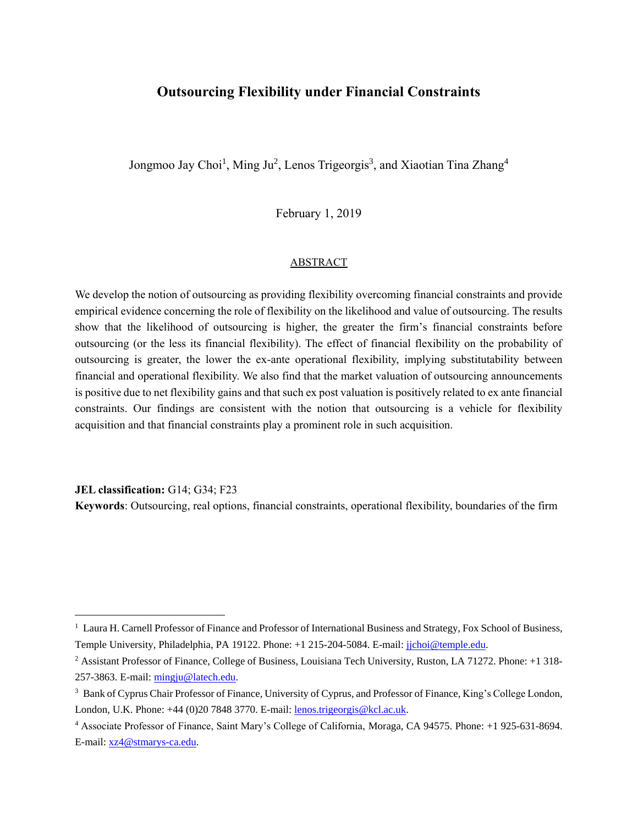## **Outsourcing Flexibility under Financial Constraints**

Jongmoo Jay Choi<sup>1</sup>, Ming Ju<sup>2</sup>, Lenos Trigeorgis<sup>3</sup>, and Xiaotian Tina Zhang<sup>4</sup>

February 1, 2019

#### ABSTRACT

We develop the notion of outsourcing as providing flexibility overcoming financial constraints and provide empirical evidence concerning the role of flexibility on the likelihood and value of outsourcing. The results show that the likelihood of outsourcing is higher, the greater the firm's financial constraints before outsourcing (or the less its financial flexibility). The effect of financial flexibility on the probability of outsourcing is greater, the lower the ex-ante operational flexibility, implying substitutability between financial and operational flexibility. We also find that the market valuation of outsourcing announcements is positive due to net flexibility gains and that such ex post valuation is positively related to ex ante financial constraints. Our findings are consistent with the notion that outsourcing is a vehicle for flexibility acquisition and that financial constraints play a prominent role in such acquisition.

**JEL classification:** G14; G34; F23

 $\overline{a}$ 

**Keywords**: Outsourcing, real options, financial constraints, operational flexibility, boundaries of the firm

 $<sup>1</sup>$  Laura H. Carnell Professor of Finance and Professor of International Business and Strategy, Fox School of Business,</sup> Temple University, Philadelphia, PA 19122. Phone: +1 215-204-5084. E-mail: [jjchoi@temple.edu.](mailto:jjchoi@temple.edu)

<sup>2</sup> Assistant Professor of Finance, College of Business, Louisiana Tech University, Ruston, LA 71272. Phone: +1 318- 257-3863. E-mail: [mingju@latech.edu.](mailto:mingju@latech.edu)

<sup>&</sup>lt;sup>3</sup> Bank of Cyprus Chair Professor of Finance, University of Cyprus, and Professor of Finance, King's College London, London, U.K. Phone: +44 (0)20 7848 3770. E-mail[: lenos.trigeorgis@kcl.ac.uk.](mailto:lenos.trigeorgis@kcl.ac.uk)

<sup>4</sup> Associate Professor of Finance, Saint Mary's College of California, Moraga, CA 94575. Phone: +1 925-631-8694. E-mail: [xz4@stmarys-ca.edu.](mailto:xz4@stmarys-ca.edu)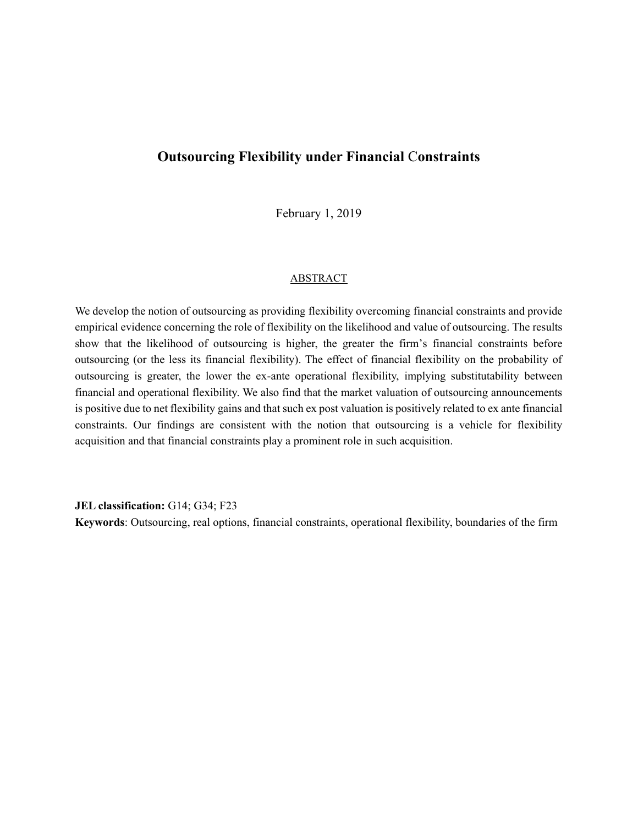# **Outsourcing Flexibility under Financial** C**onstraints**

February 1, 2019

#### ABSTRACT

We develop the notion of outsourcing as providing flexibility overcoming financial constraints and provide empirical evidence concerning the role of flexibility on the likelihood and value of outsourcing. The results show that the likelihood of outsourcing is higher, the greater the firm's financial constraints before outsourcing (or the less its financial flexibility). The effect of financial flexibility on the probability of outsourcing is greater, the lower the ex-ante operational flexibility, implying substitutability between financial and operational flexibility. We also find that the market valuation of outsourcing announcements is positive due to net flexibility gains and that such ex post valuation is positively related to ex ante financial constraints. Our findings are consistent with the notion that outsourcing is a vehicle for flexibility acquisition and that financial constraints play a prominent role in such acquisition.

**JEL classification:** G14; G34; F23

**Keywords**: Outsourcing, real options, financial constraints, operational flexibility, boundaries of the firm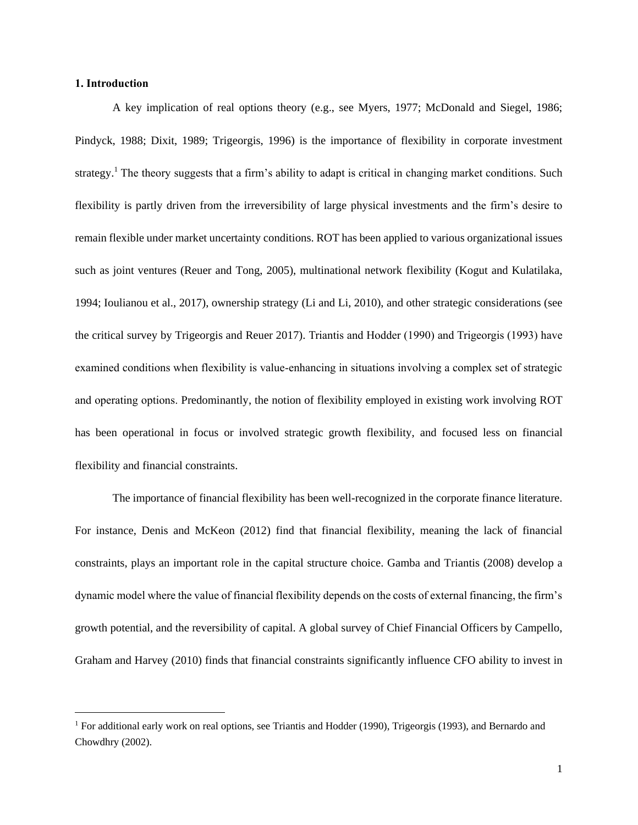## **1. Introduction**

 $\overline{a}$ 

A key implication of real options theory (e.g., see Myers, 1977; McDonald and Siegel, 1986; Pindyck, 1988; Dixit, 1989; Trigeorgis, 1996) is the importance of flexibility in corporate investment strategy.<sup>1</sup> The theory suggests that a firm's ability to adapt is critical in changing market conditions. Such flexibility is partly driven from the irreversibility of large physical investments and the firm's desire to remain flexible under market uncertainty conditions. ROT has been applied to various organizational issues such as joint ventures (Reuer and Tong, 2005), multinational network flexibility (Kogut and Kulatilaka, 1994; Ioulianou et al., 2017), ownership strategy (Li and Li, 2010), and other strategic considerations (see the critical survey by Trigeorgis and Reuer 2017). Triantis and Hodder (1990) and Trigeorgis (1993) have examined conditions when flexibility is value-enhancing in situations involving a complex set of strategic and operating options. Predominantly, the notion of flexibility employed in existing work involving ROT has been operational in focus or involved strategic growth flexibility, and focused less on financial flexibility and financial constraints.

The importance of financial flexibility has been well-recognized in the corporate finance literature. For instance, Denis and McKeon (2012) find that financial flexibility, meaning the lack of financial constraints, plays an important role in the capital structure choice. Gamba and Triantis (2008) develop a dynamic model where the value of financial flexibility depends on the costs of external financing, the firm's growth potential, and the reversibility of capital. A global survey of Chief Financial Officers by Campello, Graham and Harvey (2010) finds that financial constraints significantly influence CFO ability to invest in

<sup>&</sup>lt;sup>1</sup> For additional early work on real options, see Triantis and Hodder (1990), Trigeorgis (1993), and Bernardo and Chowdhry (2002).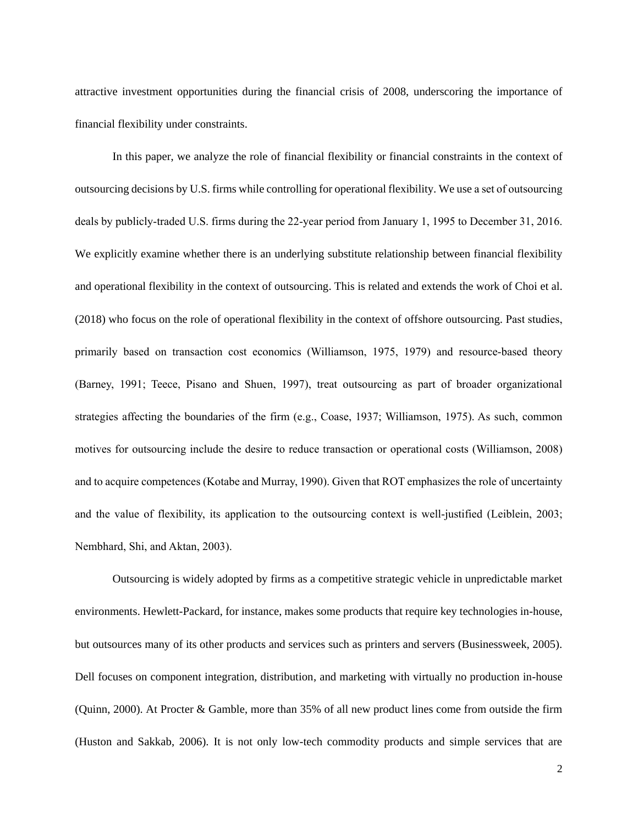attractive investment opportunities during the financial crisis of 2008, underscoring the importance of financial flexibility under constraints.

In this paper, we analyze the role of financial flexibility or financial constraints in the context of outsourcing decisions by U.S. firms while controlling for operational flexibility. We use a set of outsourcing deals by publicly-traded U.S. firms during the 22-year period from January 1, 1995 to December 31, 2016. We explicitly examine whether there is an underlying substitute relationship between financial flexibility and operational flexibility in the context of outsourcing. This is related and extends the work of Choi et al. (2018) who focus on the role of operational flexibility in the context of offshore outsourcing. Past studies, primarily based on transaction cost economics (Williamson, 1975, 1979) and resource-based theory (Barney, 1991; Teece, Pisano and Shuen, 1997), treat outsourcing as part of broader organizational strategies affecting the boundaries of the firm (e.g., Coase, 1937; Williamson, 1975). As such, common motives for outsourcing include the desire to reduce transaction or operational costs (Williamson, 2008) and to acquire competences (Kotabe and Murray, 1990). Given that ROT emphasizes the role of uncertainty and the value of flexibility, its application to the outsourcing context is well-justified (Leiblein, 2003; Nembhard, Shi, and Aktan, 2003).

Outsourcing is widely adopted by firms as a competitive strategic vehicle in unpredictable market environments. Hewlett-Packard, for instance, makes some products that require key technologies in-house, but outsources many of its other products and services such as printers and servers (Businessweek, 2005). Dell focuses on component integration, distribution, and marketing with virtually no production in-house (Quinn, 2000). At Procter & Gamble, more than 35% of all new product lines come from outside the firm (Huston and Sakkab, 2006). It is not only low-tech commodity products and simple services that are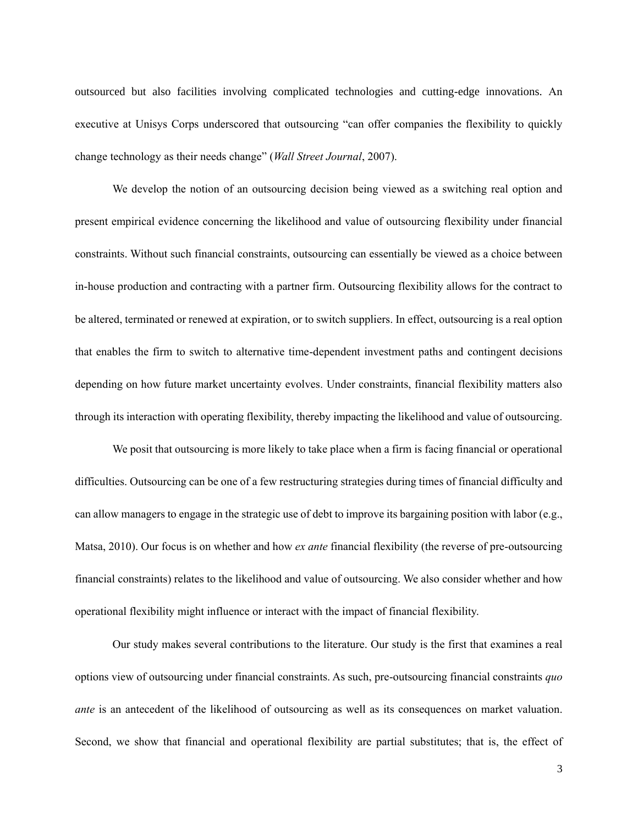outsourced but also facilities involving complicated technologies and cutting-edge innovations. An executive at Unisys Corps underscored that outsourcing "can offer companies the flexibility to quickly change technology as their needs change" (*Wall Street Journal*, 2007).

We develop the notion of an outsourcing decision being viewed as a switching real option and present empirical evidence concerning the likelihood and value of outsourcing flexibility under financial constraints. Without such financial constraints, outsourcing can essentially be viewed as a choice between in-house production and contracting with a partner firm. Outsourcing flexibility allows for the contract to be altered, terminated or renewed at expiration, or to switch suppliers. In effect, outsourcing is a real option that enables the firm to switch to alternative time-dependent investment paths and contingent decisions depending on how future market uncertainty evolves. Under constraints, financial flexibility matters also through its interaction with operating flexibility, thereby impacting the likelihood and value of outsourcing.

We posit that outsourcing is more likely to take place when a firm is facing financial or operational difficulties. Outsourcing can be one of a few restructuring strategies during times of financial difficulty and can allow managers to engage in the strategic use of debt to improve its bargaining position with labor (e.g., Matsa, 2010). Our focus is on whether and how *ex ante* financial flexibility (the reverse of pre-outsourcing financial constraints) relates to the likelihood and value of outsourcing. We also consider whether and how operational flexibility might influence or interact with the impact of financial flexibility.

Our study makes several contributions to the literature. Our study is the first that examines a real options view of outsourcing under financial constraints. As such, pre-outsourcing financial constraints *quo ante* is an antecedent of the likelihood of outsourcing as well as its consequences on market valuation. Second, we show that financial and operational flexibility are partial substitutes; that is, the effect of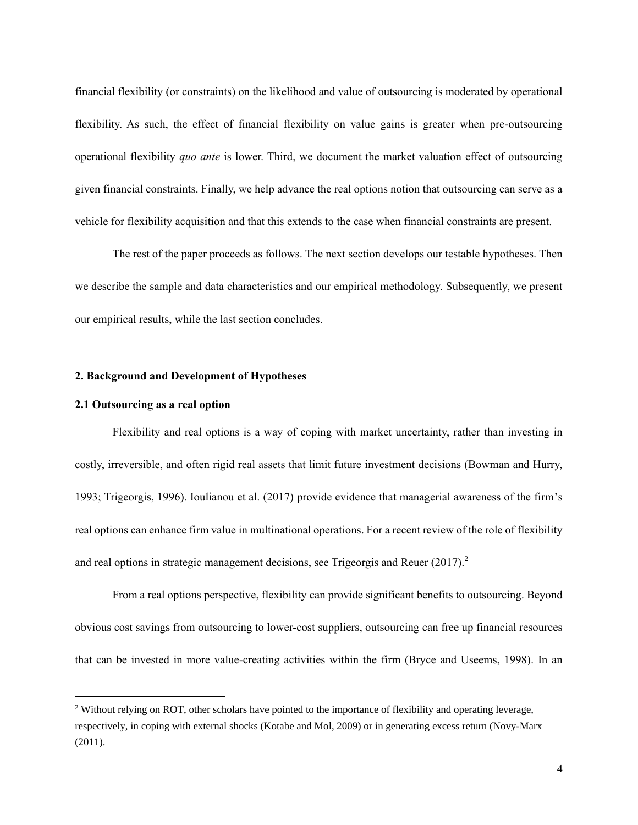financial flexibility (or constraints) on the likelihood and value of outsourcing is moderated by operational flexibility. As such, the effect of financial flexibility on value gains is greater when pre-outsourcing operational flexibility *quo ante* is lower. Third, we document the market valuation effect of outsourcing given financial constraints. Finally, we help advance the real options notion that outsourcing can serve as a vehicle for flexibility acquisition and that this extends to the case when financial constraints are present.

The rest of the paper proceeds as follows. The next section develops our testable hypotheses. Then we describe the sample and data characteristics and our empirical methodology. Subsequently, we present our empirical results, while the last section concludes.

## **2. Background and Development of Hypotheses**

#### **2.1 Outsourcing as a real option**

 $\overline{a}$ 

Flexibility and real options is a way of coping with market uncertainty, rather than investing in costly, irreversible, and often rigid real assets that limit future investment decisions (Bowman and Hurry, 1993; Trigeorgis, 1996). Ioulianou et al. (2017) provide evidence that managerial awareness of the firm's real options can enhance firm value in multinational operations. For a recent review of the role of flexibility and real options in strategic management decisions, see Trigeorgis and Reuer (2017).<sup>2</sup>

From a real options perspective, flexibility can provide significant benefits to outsourcing. Beyond obvious cost savings from outsourcing to lower-cost suppliers, outsourcing can free up financial resources that can be invested in more value-creating activities within the firm (Bryce and Useems, 1998). In an

<sup>&</sup>lt;sup>2</sup> Without relying on ROT, other scholars have pointed to the importance of flexibility and operating leverage, respectively, in coping with external shocks (Kotabe and Mol, 2009) or in generating excess return (Novy-Marx (2011).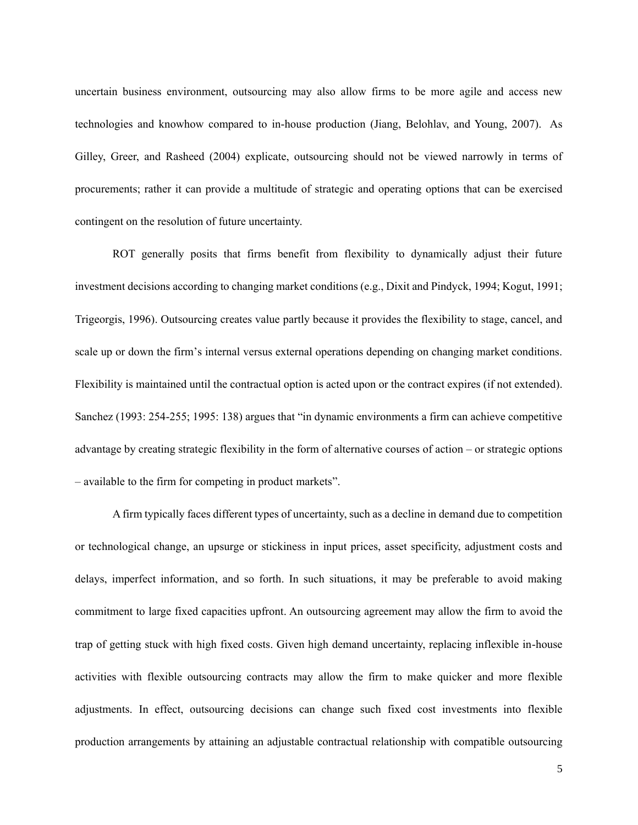uncertain business environment, outsourcing may also allow firms to be more agile and access new technologies and knowhow compared to in-house production (Jiang, Belohlav, and Young, 2007). As Gilley, Greer, and Rasheed (2004) explicate, outsourcing should not be viewed narrowly in terms of procurements; rather it can provide a multitude of strategic and operating options that can be exercised contingent on the resolution of future uncertainty.

ROT generally posits that firms benefit from flexibility to dynamically adjust their future investment decisions according to changing market conditions (e.g., Dixit and Pindyck, 1994; Kogut, 1991; Trigeorgis, 1996). Outsourcing creates value partly because it provides the flexibility to stage, cancel, and scale up or down the firm's internal versus external operations depending on changing market conditions. Flexibility is maintained until the contractual option is acted upon or the contract expires (if not extended). Sanchez (1993: 254-255; 1995: 138) argues that "in dynamic environments a firm can achieve competitive advantage by creating strategic flexibility in the form of alternative courses of action – or strategic options – available to the firm for competing in product markets".

A firm typically faces different types of uncertainty, such as a decline in demand due to competition or technological change, an upsurge or stickiness in input prices, asset specificity, adjustment costs and delays, imperfect information, and so forth. In such situations, it may be preferable to avoid making commitment to large fixed capacities upfront. An outsourcing agreement may allow the firm to avoid the trap of getting stuck with high fixed costs. Given high demand uncertainty, replacing inflexible in-house activities with flexible outsourcing contracts may allow the firm to make quicker and more flexible adjustments. In effect, outsourcing decisions can change such fixed cost investments into flexible production arrangements by attaining an adjustable contractual relationship with compatible outsourcing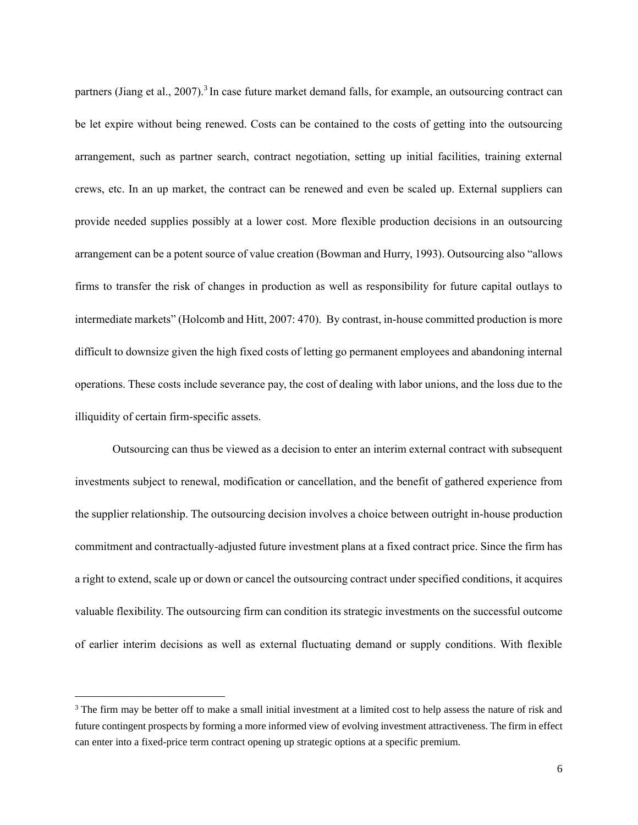partners (Jiang et al., 2007).<sup>3</sup> In case future market demand falls, for example, an outsourcing contract can be let expire without being renewed. Costs can be contained to the costs of getting into the outsourcing arrangement, such as partner search, contract negotiation, setting up initial facilities, training external crews, etc. In an up market, the contract can be renewed and even be scaled up. External suppliers can provide needed supplies possibly at a lower cost. More flexible production decisions in an outsourcing arrangement can be a potent source of value creation (Bowman and Hurry, 1993). Outsourcing also "allows firms to transfer the risk of changes in production as well as responsibility for future capital outlays to intermediate markets" (Holcomb and Hitt, 2007: 470). By contrast, in-house committed production is more difficult to downsize given the high fixed costs of letting go permanent employees and abandoning internal operations. These costs include severance pay, the cost of dealing with labor unions, and the loss due to the illiquidity of certain firm-specific assets.

Outsourcing can thus be viewed as a decision to enter an interim external contract with subsequent investments subject to renewal, modification or cancellation, and the benefit of gathered experience from the supplier relationship. The outsourcing decision involves a choice between outright in-house production commitment and contractually-adjusted future investment plans at a fixed contract price. Since the firm has a right to extend, scale up or down or cancel the outsourcing contract under specified conditions, it acquires valuable flexibility. The outsourcing firm can condition its strategic investments on the successful outcome of earlier interim decisions as well as external fluctuating demand or supply conditions. With flexible

 $\overline{a}$ 

<sup>&</sup>lt;sup>3</sup> The firm may be better off to make a small initial investment at a limited cost to help assess the nature of risk and future contingent prospects by forming a more informed view of evolving investment attractiveness. The firm in effect can enter into a fixed-price term contract opening up strategic options at a specific premium.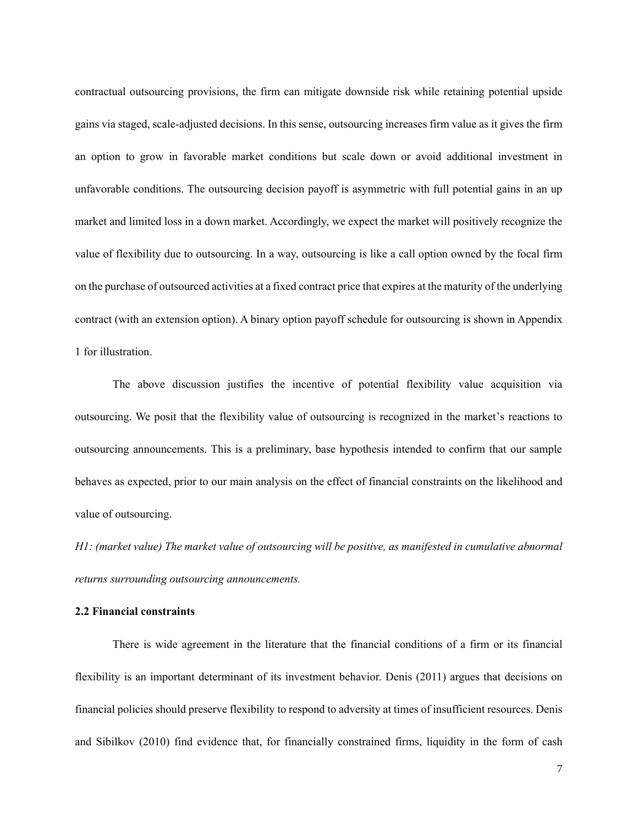contractual outsourcing provisions, the firm can mitigate downside risk while retaining potential upside gains via staged, scale-adjusted decisions. In this sense, outsourcing increases firm value as it gives the firm an option to grow in favorable market conditions but scale down or avoid additional investment in unfavorable conditions. The outsourcing decision payoff is asymmetric with full potential gains in an up market and limited loss in a down market. Accordingly, we expect the market will positively recognize the value of flexibility due to outsourcing. In a way, outsourcing is like a call option owned by the focal firm on the purchase of outsourced activities at a fixed contract price that expires at the maturity of the underlying contract (with an extension option). A binary option payoff schedule for outsourcing is shown in Appendix 1 for illustration.

The above discussion justifies the incentive of potential flexibility value acquisition via outsourcing. We posit that the flexibility value of outsourcing is recognized in the market's reactions to outsourcing announcements. This is a preliminary, base hypothesis intended to confirm that our sample behaves as expected, prior to our main analysis on the effect of financial constraints on the likelihood and value of outsourcing.

*H1: (market value) The market value of outsourcing will be positive, as manifested in cumulative abnormal returns surrounding outsourcing announcements.*

#### **2.2 Financial constraints**

There is wide agreement in the literature that the financial conditions of a firm or its financial flexibility is an important determinant of its investment behavior. Denis (2011) argues that decisions on financial policies should preserve flexibility to respond to adversity at times of insufficient resources. Denis and Sibilkov (2010) find evidence that, for financially constrained firms, liquidity in the form of cash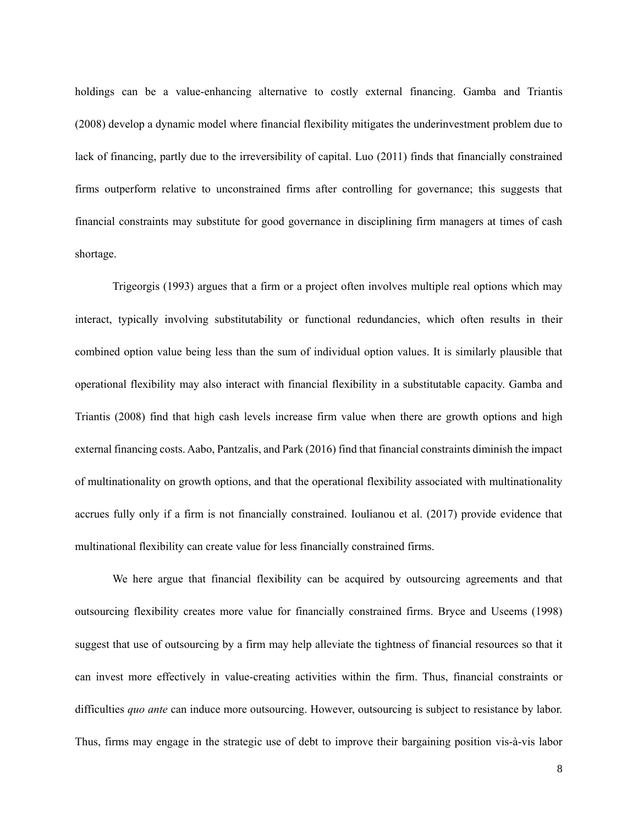holdings can be a value-enhancing alternative to costly external financing. Gamba and Triantis (2008) develop a dynamic model where financial flexibility mitigates the underinvestment problem due to lack of financing, partly due to the irreversibility of capital. Luo (2011) finds that financially constrained firms outperform relative to unconstrained firms after controlling for governance; this suggests that financial constraints may substitute for good governance in disciplining firm managers at times of cash shortage.

Trigeorgis (1993) argues that a firm or a project often involves multiple real options which may interact, typically involving substitutability or functional redundancies, which often results in their combined option value being less than the sum of individual option values. It is similarly plausible that operational flexibility may also interact with financial flexibility in a substitutable capacity. Gamba and Triantis (2008) find that high cash levels increase firm value when there are growth options and high external financing costs. Aabo, Pantzalis, and Park (2016) find that financial constraints diminish the impact of multinationality on growth options, and that the operational flexibility associated with multinationality accrues fully only if a firm is not financially constrained. Ioulianou et al. (2017) provide evidence that multinational flexibility can create value for less financially constrained firms.

We here argue that financial flexibility can be acquired by outsourcing agreements and that outsourcing flexibility creates more value for financially constrained firms. Bryce and Useems (1998) suggest that use of outsourcing by a firm may help alleviate the tightness of financial resources so that it can invest more effectively in value-creating activities within the firm. Thus, financial constraints or difficulties *quo ante* can induce more outsourcing. However, outsourcing is subject to resistance by labor. Thus, firms may engage in the strategic use of debt to improve their bargaining position vis-à-vis labor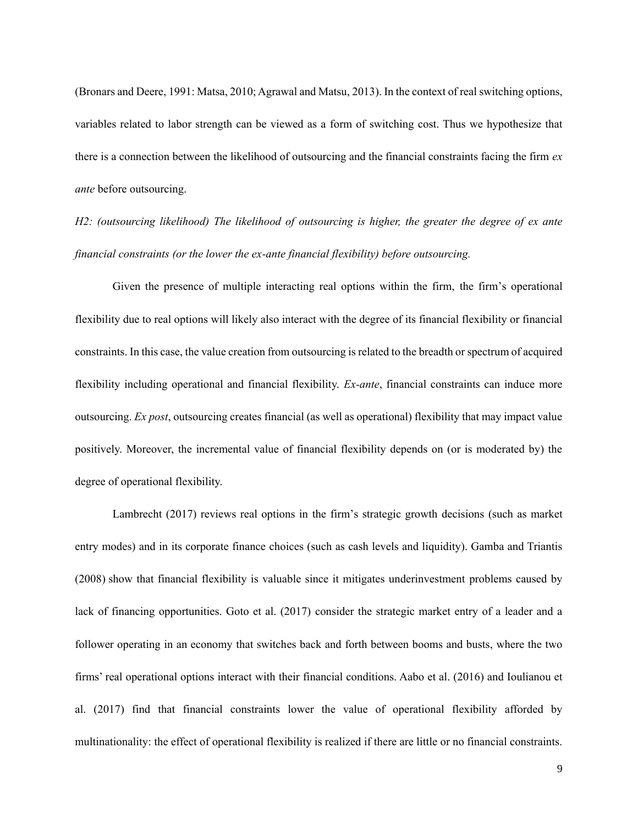(Bronars and Deere, 1991: Matsa, 2010; Agrawal and Matsu, 2013). In the context of real switching options, variables related to labor strength can be viewed as a form of switching cost. Thus we hypothesize that there is a connection between the likelihood of outsourcing and the financial constraints facing the firm *ex ante* before outsourcing.

*H2: (outsourcing likelihood) The likelihood of outsourcing is higher, the greater the degree of ex ante financial constraints (or the lower the ex-ante financial flexibility) before outsourcing.*

Given the presence of multiple interacting real options within the firm, the firm's operational flexibility due to real options will likely also interact with the degree of its financial flexibility or financial constraints. In this case, the value creation from outsourcing is related to the breadth or spectrum of acquired flexibility including operational and financial flexibility. *Ex-ante*, financial constraints can induce more outsourcing. *Ex post*, outsourcing creates financial (as well as operational) flexibility that may impact value positively. Moreover, the incremental value of financial flexibility depends on (or is moderated by) the degree of operational flexibility.

Lambrecht (2017) reviews real options in the firm's strategic growth decisions (such as market entry modes) and in its corporate finance choices (such as cash levels and liquidity). Gamba and Triantis (2008) show that financial flexibility is valuable since it mitigates underinvestment problems caused by lack of financing opportunities. Goto et al. (2017) consider the strategic market entry of a leader and a follower operating in an economy that switches back and forth between booms and busts, where the two firms' real operational options interact with their financial conditions. Aabo et al. (2016) and Ioulianou et al. (2017) find that financial constraints lower the value of operational flexibility afforded by multinationality: the effect of operational flexibility is realized if there are little or no financial constraints.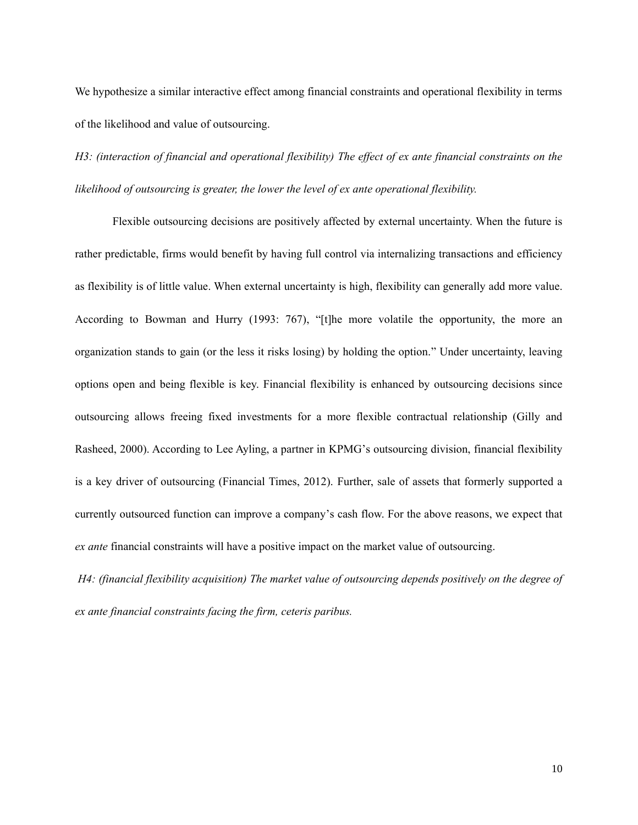We hypothesize a similar interactive effect among financial constraints and operational flexibility in terms of the likelihood and value of outsourcing.

*H3: (interaction of financial and operational flexibility) The effect of ex ante financial constraints on the likelihood of outsourcing is greater, the lower the level of ex ante operational flexibility.* 

Flexible outsourcing decisions are positively affected by external uncertainty. When the future is rather predictable, firms would benefit by having full control via internalizing transactions and efficiency as flexibility is of little value. When external uncertainty is high, flexibility can generally add more value. According to Bowman and Hurry (1993: 767), "[t]he more volatile the opportunity, the more an organization stands to gain (or the less it risks losing) by holding the option." Under uncertainty, leaving options open and being flexible is key. Financial flexibility is enhanced by outsourcing decisions since outsourcing allows freeing fixed investments for a more flexible contractual relationship (Gilly and Rasheed, 2000). According to Lee Ayling, a partner in KPMG's outsourcing division, financial flexibility is a key driver of outsourcing (Financial Times, 2012). Further, sale of assets that formerly supported a currently outsourced function can improve a company's cash flow. For the above reasons, we expect that *ex ante* financial constraints will have a positive impact on the market value of outsourcing.

*H4: (financial flexibility acquisition) The market value of outsourcing depends positively on the degree of ex ante financial constraints facing the firm, ceteris paribus.*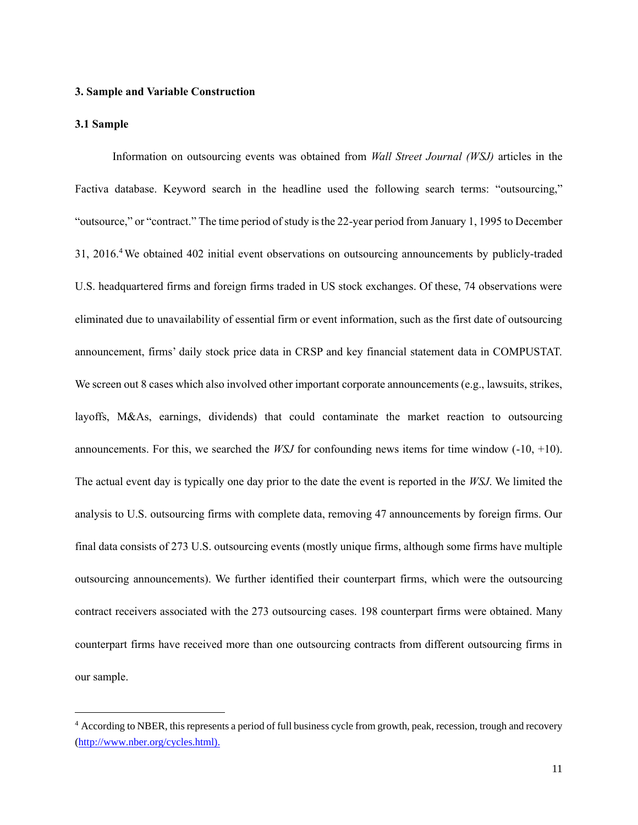## **3. Sample and Variable Construction**

#### **3.1 Sample**

 $\overline{a}$ 

Information on outsourcing events was obtained from *Wall Street Journal (WSJ)* articles in the Factiva database. Keyword search in the headline used the following search terms: "outsourcing," "outsource," or "contract." The time period of study is the 22-year period from January 1, 1995 to December 31, 2016.<sup>4</sup> We obtained 402 initial event observations on outsourcing announcements by publicly-traded U.S. headquartered firms and foreign firms traded in US stock exchanges. Of these, 74 observations were eliminated due to unavailability of essential firm or event information, such as the first date of outsourcing announcement, firms' daily stock price data in CRSP and key financial statement data in COMPUSTAT. We screen out 8 cases which also involved other important corporate announcements (e.g., lawsuits, strikes, layoffs, M&As, earnings, dividends) that could contaminate the market reaction to outsourcing announcements. For this, we searched the *WSJ* for confounding news items for time window  $(-10, +10)$ . The actual event day is typically one day prior to the date the event is reported in the *WSJ*. We limited the analysis to U.S. outsourcing firms with complete data, removing 47 announcements by foreign firms. Our final data consists of 273 U.S. outsourcing events (mostly unique firms, although some firms have multiple outsourcing announcements). We further identified their counterpart firms, which were the outsourcing contract receivers associated with the 273 outsourcing cases. 198 counterpart firms were obtained. Many counterpart firms have received more than one outsourcing contracts from different outsourcing firms in our sample.

<sup>&</sup>lt;sup>4</sup> According to NBER, this represents a period of full business cycle from growth, peak, recession, trough and recovery [\(http://www.nber.org/cycles.html\)](http://www.nber.org/cycles.html).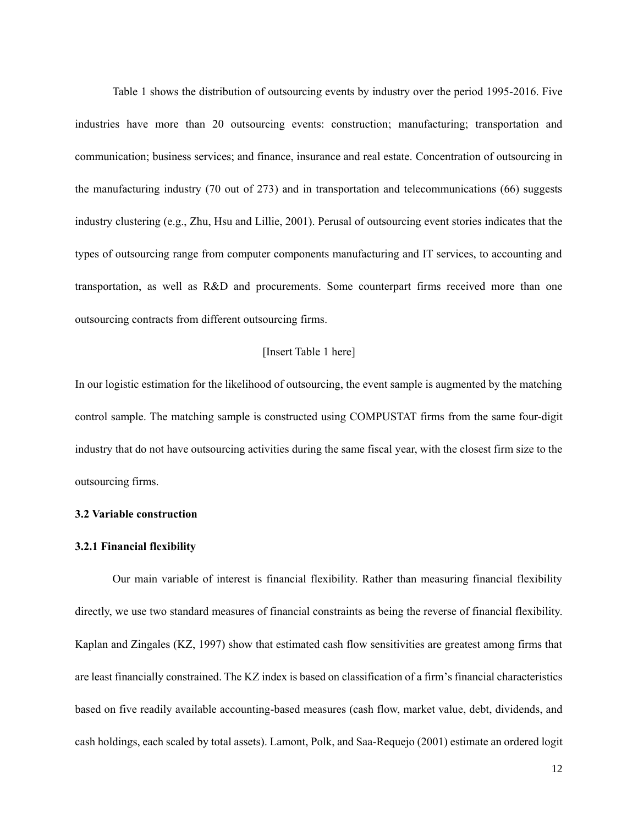Table 1 shows the distribution of outsourcing events by industry over the period 1995-2016. Five industries have more than 20 outsourcing events: construction; manufacturing; transportation and communication; business services; and finance, insurance and real estate. Concentration of outsourcing in the manufacturing industry (70 out of 273) and in transportation and telecommunications (66) suggests industry clustering (e.g., Zhu, Hsu and Lillie, 2001). Perusal of outsourcing event stories indicates that the types of outsourcing range from computer components manufacturing and IT services, to accounting and transportation, as well as R&D and procurements. Some counterpart firms received more than one outsourcing contracts from different outsourcing firms.

## [Insert Table 1 here]

In our logistic estimation for the likelihood of outsourcing, the event sample is augmented by the matching control sample. The matching sample is constructed using COMPUSTAT firms from the same four-digit industry that do not have outsourcing activities during the same fiscal year, with the closest firm size to the outsourcing firms.

#### **3.2 Variable construction**

#### **3.2.1 Financial flexibility**

Our main variable of interest is financial flexibility. Rather than measuring financial flexibility directly, we use two standard measures of financial constraints as being the reverse of financial flexibility. Kaplan and Zingales (KZ, 1997) show that estimated cash flow sensitivities are greatest among firms that are least financially constrained. The KZ index is based on classification of a firm's financial characteristics based on five readily available accounting-based measures (cash flow, market value, debt, dividends, and cash holdings, each scaled by total assets). Lamont, Polk, and Saa-Requejo (2001) estimate an ordered logit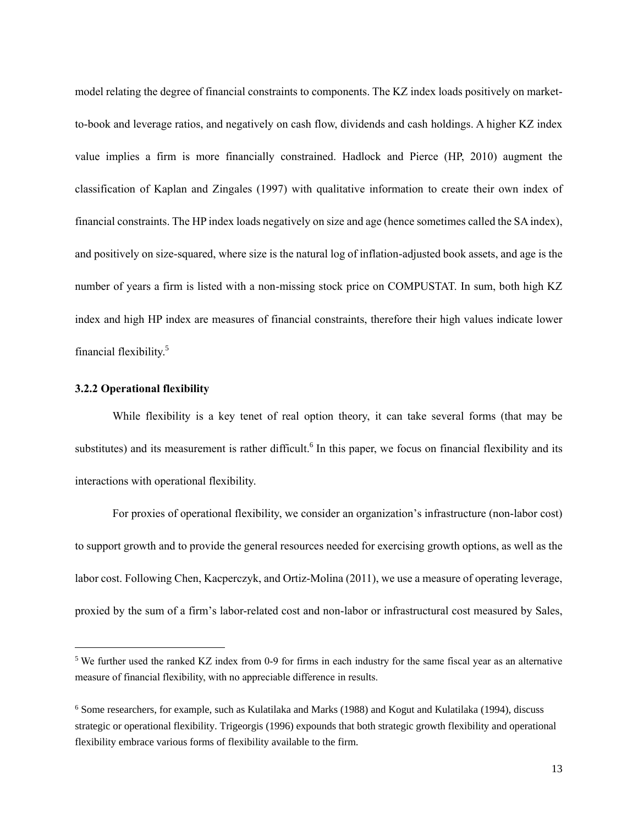model relating the degree of financial constraints to components. The KZ index loads positively on marketto-book and leverage ratios, and negatively on cash flow, dividends and cash holdings. A higher KZ index value implies a firm is more financially constrained. Hadlock and Pierce (HP, 2010) augment the classification of Kaplan and Zingales (1997) with qualitative information to create their own index of financial constraints. The HP index loads negatively on size and age (hence sometimes called the SA index), and positively on size-squared, where size is the natural log of inflation-adjusted book assets, and age is the number of years a firm is listed with a non-missing stock price on COMPUSTAT. In sum, both high KZ index and high HP index are measures of financial constraints, therefore their high values indicate lower financial flexibility.<sup>5</sup>

#### **3.2.2 Operational flexibility**

 $\overline{a}$ 

While flexibility is a key tenet of real option theory, it can take several forms (that may be substitutes) and its measurement is rather difficult.<sup>6</sup> In this paper, we focus on financial flexibility and its interactions with operational flexibility.

For proxies of operational flexibility, we consider an organization's infrastructure (non-labor cost) to support growth and to provide the general resources needed for exercising growth options, as well as the labor cost. Following Chen, Kacperczyk, and Ortiz-Molina (2011), we use a measure of operating leverage, proxied by the sum of a firm's labor-related cost and non-labor or infrastructural cost measured by Sales,

<sup>&</sup>lt;sup>5</sup> We further used the ranked KZ index from 0-9 for firms in each industry for the same fiscal year as an alternative measure of financial flexibility, with no appreciable difference in results.

<sup>6</sup> Some researchers, for example, such as Kulatilaka and Marks (1988) and Kogut and Kulatilaka (1994), discuss strategic or operational flexibility. Trigeorgis (1996) expounds that both strategic growth flexibility and operational flexibility embrace various forms of flexibility available to the firm.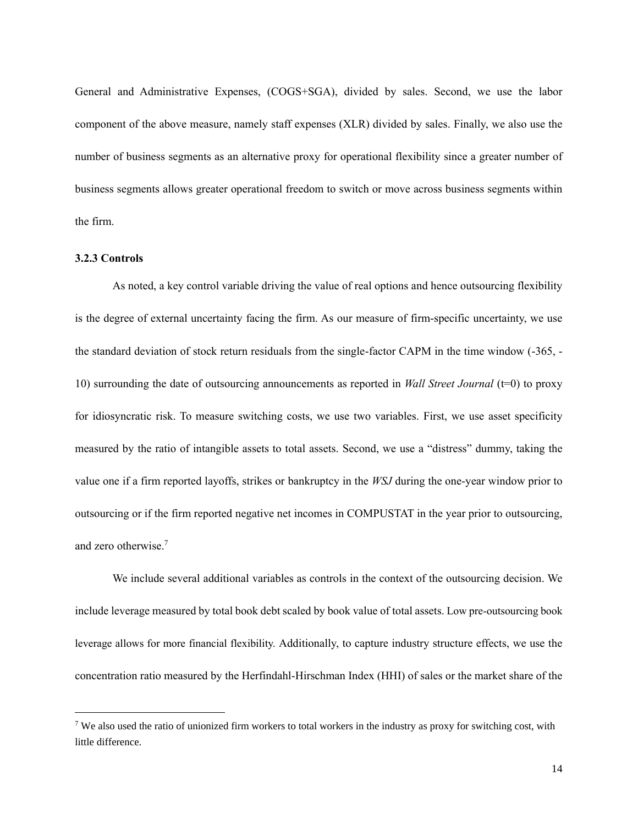General and Administrative Expenses, (COGS+SGA), divided by sales. Second, we use the labor component of the above measure, namely staff expenses (XLR) divided by sales. Finally, we also use the number of business segments as an alternative proxy for operational flexibility since a greater number of business segments allows greater operational freedom to switch or move across business segments within the firm.

## **3.2.3 Controls**

 $\overline{a}$ 

As noted, a key control variable driving the value of real options and hence outsourcing flexibility is the degree of external uncertainty facing the firm. As our measure of firm-specific uncertainty, we use the standard deviation of stock return residuals from the single-factor CAPM in the time window (-365, - 10) surrounding the date of outsourcing announcements as reported in *Wall Street Journal* (t=0) to proxy for idiosyncratic risk. To measure switching costs, we use two variables. First, we use asset specificity measured by the ratio of intangible assets to total assets. Second, we use a "distress" dummy, taking the value one if a firm reported layoffs, strikes or bankruptcy in the *WSJ* during the one-year window prior to outsourcing or if the firm reported negative net incomes in COMPUSTAT in the year prior to outsourcing, and zero otherwise. 7

We include several additional variables as controls in the context of the outsourcing decision. We include leverage measured by total book debt scaled by book value of total assets. Low pre-outsourcing book leverage allows for more financial flexibility. Additionally, to capture industry structure effects, we use the concentration ratio measured by the Herfindahl-Hirschman Index (HHI) of sales or the market share of the

<sup>7</sup> We also used the ratio of unionized firm workers to total workers in the industry as proxy for switching cost, with little difference.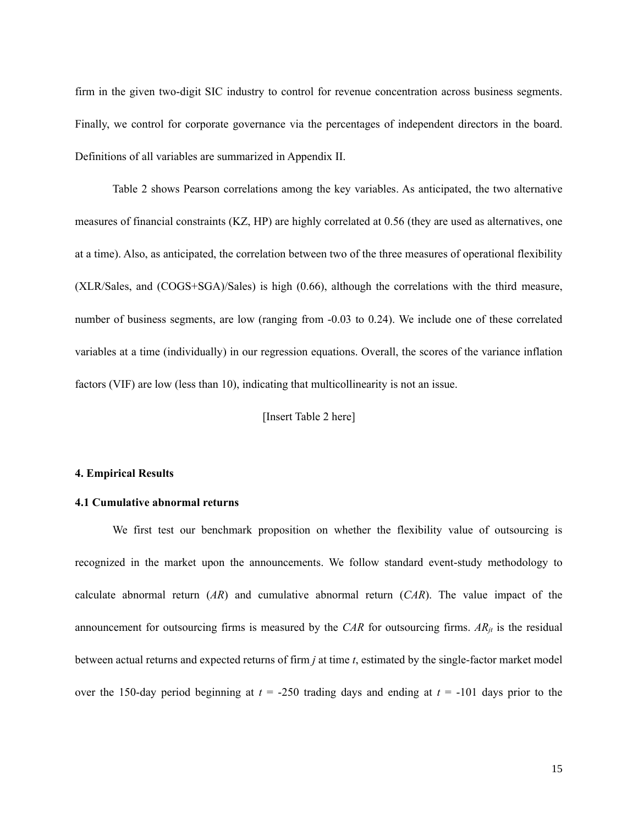firm in the given two-digit SIC industry to control for revenue concentration across business segments. Finally, we control for corporate governance via the percentages of independent directors in the board. Definitions of all variables are summarized in Appendix II.

Table 2 shows Pearson correlations among the key variables. As anticipated, the two alternative measures of financial constraints (KZ, HP) are highly correlated at 0.56 (they are used as alternatives, one at a time). Also, as anticipated, the correlation between two of the three measures of operational flexibility (XLR/Sales, and (COGS+SGA)/Sales) is high (0.66), although the correlations with the third measure, number of business segments, are low (ranging from -0.03 to 0.24). We include one of these correlated variables at a time (individually) in our regression equations. Overall, the scores of the variance inflation factors (VIF) are low (less than 10), indicating that multicollinearity is not an issue.

[Insert Table 2 here]

#### **4. Empirical Results**

#### **4.1 Cumulative abnormal returns**

We first test our benchmark proposition on whether the flexibility value of outsourcing is recognized in the market upon the announcements. We follow standard event-study methodology to calculate abnormal return (*AR*) and cumulative abnormal return (*CAR*). The value impact of the announcement for outsourcing firms is measured by the *CAR* for outsourcing firms. *ARjt* is the residual between actual returns and expected returns of firm *j* at time *t*, estimated by the single-factor market model over the 150-day period beginning at *t* = -250 trading days and ending at *t* = -101 days prior to the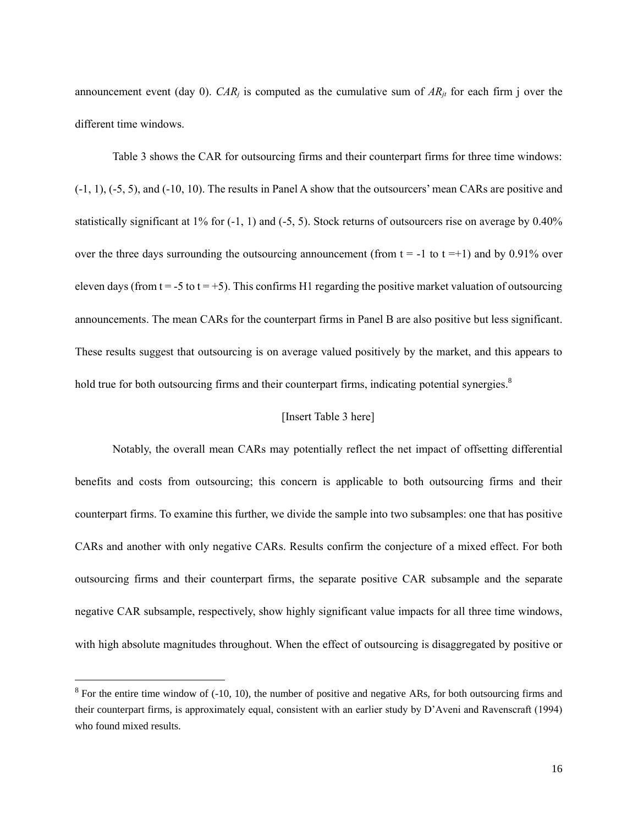announcement event (day 0). *CAR<sub>i</sub>* is computed as the cumulative sum of  $AR_{it}$  for each firm j over the different time windows.

Table 3 shows the CAR for outsourcing firms and their counterpart firms for three time windows: (-1, 1), (-5, 5), and (-10, 10). The results in Panel A show that the outsourcers' mean CARs are positive and statistically significant at 1% for (-1, 1) and (-5, 5). Stock returns of outsourcers rise on average by 0.40% over the three days surrounding the outsourcing announcement (from  $t = -1$  to  $t = +1$ ) and by 0.91% over eleven days (from  $t = -5$  to  $t = +5$ ). This confirms H1 regarding the positive market valuation of outsourcing announcements. The mean CARs for the counterpart firms in Panel B are also positive but less significant. These results suggest that outsourcing is on average valued positively by the market, and this appears to hold true for both outsourcing firms and their counterpart firms, indicating potential synergies.<sup>8</sup>

## [Insert Table 3 here]

Notably, the overall mean CARs may potentially reflect the net impact of offsetting differential benefits and costs from outsourcing; this concern is applicable to both outsourcing firms and their counterpart firms. To examine this further, we divide the sample into two subsamples: one that has positive CARs and another with only negative CARs. Results confirm the conjecture of a mixed effect. For both outsourcing firms and their counterpart firms, the separate positive CAR subsample and the separate negative CAR subsample, respectively, show highly significant value impacts for all three time windows, with high absolute magnitudes throughout. When the effect of outsourcing is disaggregated by positive or

 $\overline{a}$ 

 $8$  For the entire time window of  $(-10, 10)$ , the number of positive and negative ARs, for both outsourcing firms and their counterpart firms, is approximately equal, consistent with an earlier study by D'Aveni and Ravenscraft (1994) who found mixed results.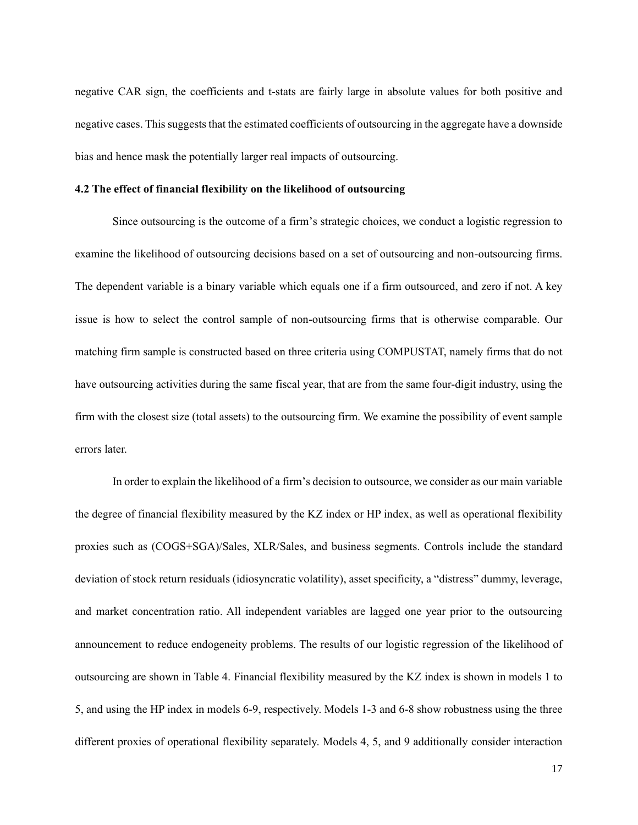negative CAR sign, the coefficients and t-stats are fairly large in absolute values for both positive and negative cases. This suggests that the estimated coefficients of outsourcing in the aggregate have a downside bias and hence mask the potentially larger real impacts of outsourcing.

## **4.2 The effect of financial flexibility on the likelihood of outsourcing**

Since outsourcing is the outcome of a firm's strategic choices, we conduct a logistic regression to examine the likelihood of outsourcing decisions based on a set of outsourcing and non-outsourcing firms. The dependent variable is a binary variable which equals one if a firm outsourced, and zero if not. A key issue is how to select the control sample of non-outsourcing firms that is otherwise comparable. Our matching firm sample is constructed based on three criteria using COMPUSTAT, namely firms that do not have outsourcing activities during the same fiscal year, that are from the same four-digit industry, using the firm with the closest size (total assets) to the outsourcing firm. We examine the possibility of event sample errors later.

In order to explain the likelihood of a firm's decision to outsource, we consider as our main variable the degree of financial flexibility measured by the KZ index or HP index, as well as operational flexibility proxies such as (COGS+SGA)/Sales, XLR/Sales, and business segments. Controls include the standard deviation of stock return residuals (idiosyncratic volatility), asset specificity, a "distress" dummy, leverage, and market concentration ratio. All independent variables are lagged one year prior to the outsourcing announcement to reduce endogeneity problems. The results of our logistic regression of the likelihood of outsourcing are shown in Table 4. Financial flexibility measured by the KZ index is shown in models 1 to 5, and using the HP index in models 6-9, respectively. Models 1-3 and 6-8 show robustness using the three different proxies of operational flexibility separately. Models 4, 5, and 9 additionally consider interaction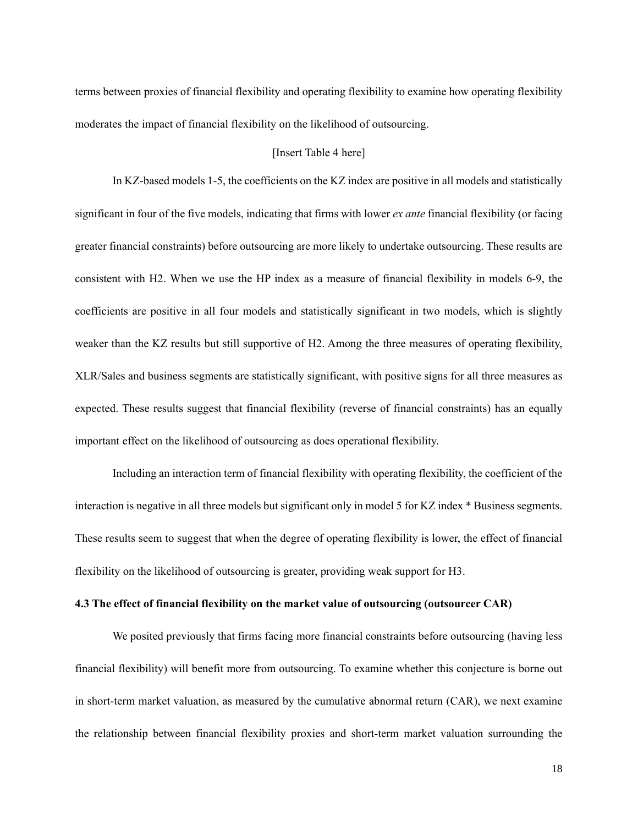terms between proxies of financial flexibility and operating flexibility to examine how operating flexibility moderates the impact of financial flexibility on the likelihood of outsourcing.

### [Insert Table 4 here]

In KZ-based models 1-5, the coefficients on the KZ index are positive in all models and statistically significant in four of the five models, indicating that firms with lower *ex ante* financial flexibility (or facing greater financial constraints) before outsourcing are more likely to undertake outsourcing. These results are consistent with H2. When we use the HP index as a measure of financial flexibility in models 6-9, the coefficients are positive in all four models and statistically significant in two models, which is slightly weaker than the KZ results but still supportive of H2. Among the three measures of operating flexibility, XLR/Sales and business segments are statistically significant, with positive signs for all three measures as expected. These results suggest that financial flexibility (reverse of financial constraints) has an equally important effect on the likelihood of outsourcing as does operational flexibility.

Including an interaction term of financial flexibility with operating flexibility, the coefficient of the interaction is negative in all three models but significant only in model 5 for KZ index \* Business segments. These results seem to suggest that when the degree of operating flexibility is lower, the effect of financial flexibility on the likelihood of outsourcing is greater, providing weak support for H3.

## **4.3 The effect of financial flexibility on the market value of outsourcing (outsourcer CAR)**

We posited previously that firms facing more financial constraints before outsourcing (having less financial flexibility) will benefit more from outsourcing. To examine whether this conjecture is borne out in short-term market valuation, as measured by the cumulative abnormal return (CAR), we next examine the relationship between financial flexibility proxies and short-term market valuation surrounding the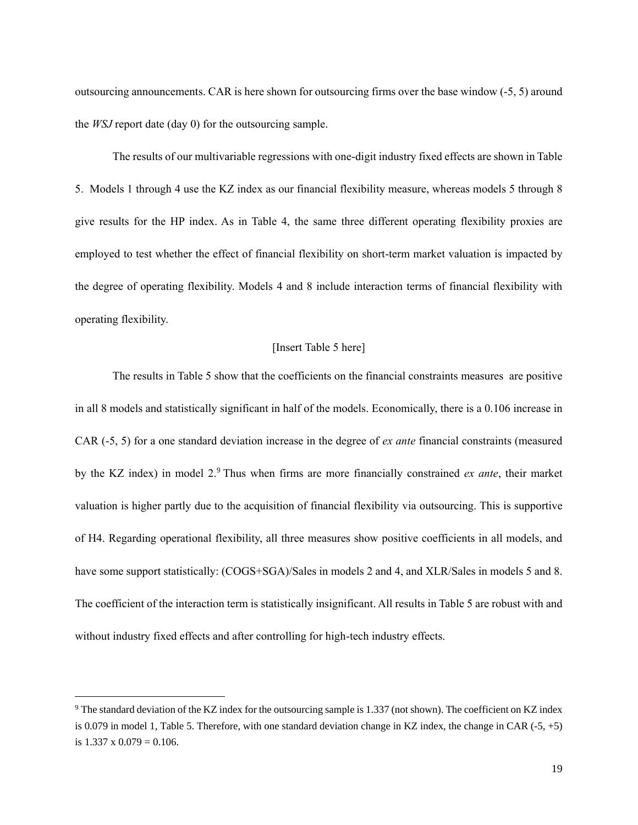outsourcing announcements. CAR is here shown for outsourcing firms over the base window (-5, 5) around the *WSJ* report date (day 0) for the outsourcing sample.

The results of our multivariable regressions with one-digit industry fixed effects are shown in Table 5. Models 1 through 4 use the KZ index as our financial flexibility measure, whereas models 5 through 8 give results for the HP index. As in Table 4, the same three different operating flexibility proxies are employed to test whether the effect of financial flexibility on short-term market valuation is impacted by the degree of operating flexibility. Models 4 and 8 include interaction terms of financial flexibility with operating flexibility.

### [Insert Table 5 here]

The results in Table 5 show that the coefficients on the financial constraints measures are positive in all 8 models and statistically significant in half of the models. Economically, there is a 0.106 increase in CAR (-5, 5) for a one standard deviation increase in the degree of *ex ante* financial constraints (measured by the KZ index) in model 2.<sup>9</sup> Thus when firms are more financially constrained *ex ante*, their market valuation is higher partly due to the acquisition of financial flexibility via outsourcing. This is supportive of H4. Regarding operational flexibility, all three measures show positive coefficients in all models, and have some support statistically:  $(COGS+SGA)/Sales$  in models 2 and 4, and XLR/Sales in models 5 and 8. The coefficient of the interaction term is statistically insignificant. All results in Table 5 are robust with and without industry fixed effects and after controlling for high-tech industry effects.

 $\overline{a}$ 

<sup>9</sup> The standard deviation of the KZ index for the outsourcing sample is 1.337 (not shown). The coefficient on KZ index is 0.079 in model 1, Table 5. Therefore, with one standard deviation change in KZ index, the change in CAR  $(-5, +5)$ is  $1.337 \times 0.079 = 0.106$ .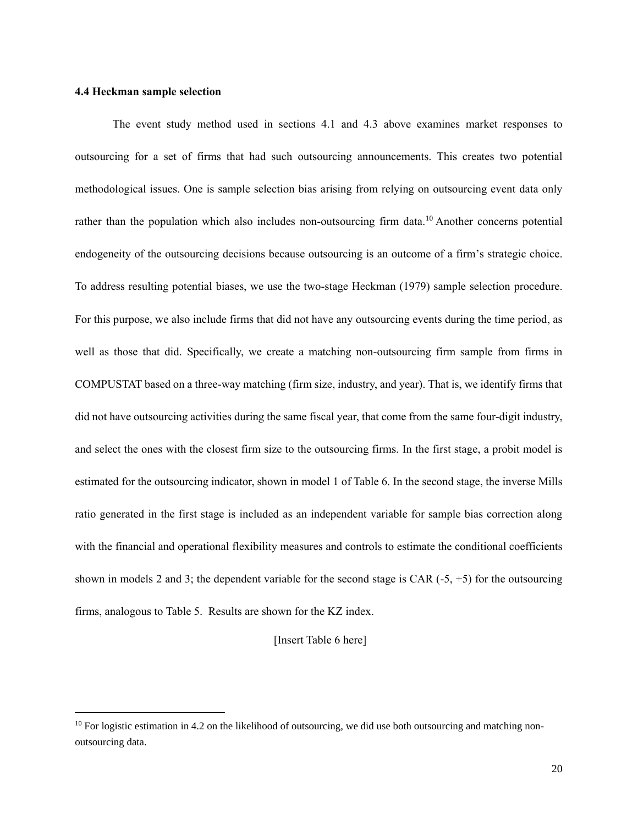## **4.4 Heckman sample selection**

 $\overline{a}$ 

The event study method used in sections 4.1 and 4.3 above examines market responses to outsourcing for a set of firms that had such outsourcing announcements. This creates two potential methodological issues. One is sample selection bias arising from relying on outsourcing event data only rather than the population which also includes non-outsourcing firm data.<sup>10</sup> Another concerns potential endogeneity of the outsourcing decisions because outsourcing is an outcome of a firm's strategic choice. To address resulting potential biases, we use the two-stage Heckman (1979) sample selection procedure. For this purpose, we also include firms that did not have any outsourcing events during the time period, as well as those that did. Specifically, we create a matching non-outsourcing firm sample from firms in COMPUSTAT based on a three-way matching (firm size, industry, and year). That is, we identify firms that did not have outsourcing activities during the same fiscal year, that come from the same four-digit industry, and select the ones with the closest firm size to the outsourcing firms. In the first stage, a probit model is estimated for the outsourcing indicator, shown in model 1 of Table 6. In the second stage, the inverse Mills ratio generated in the first stage is included as an independent variable for sample bias correction along with the financial and operational flexibility measures and controls to estimate the conditional coefficients shown in models 2 and 3; the dependent variable for the second stage is CAR  $(-5, +5)$  for the outsourcing firms, analogous to Table 5. Results are shown for the KZ index.

[Insert Table 6 here]

 $10$  For logistic estimation in 4.2 on the likelihood of outsourcing, we did use both outsourcing and matching nonoutsourcing data.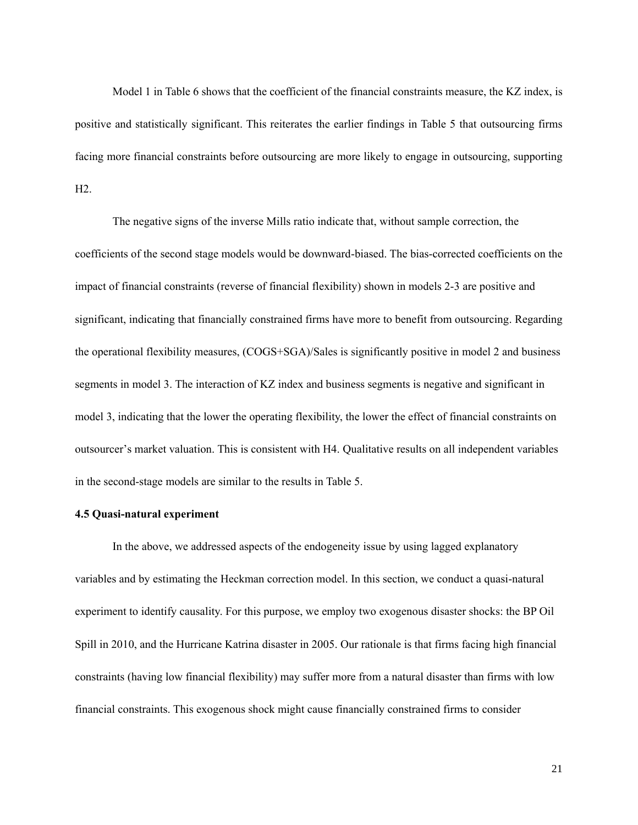Model 1 in Table 6 shows that the coefficient of the financial constraints measure, the KZ index, is positive and statistically significant. This reiterates the earlier findings in Table 5 that outsourcing firms facing more financial constraints before outsourcing are more likely to engage in outsourcing, supporting H2.

The negative signs of the inverse Mills ratio indicate that, without sample correction, the coefficients of the second stage models would be downward-biased. The bias-corrected coefficients on the impact of financial constraints (reverse of financial flexibility) shown in models 2-3 are positive and significant, indicating that financially constrained firms have more to benefit from outsourcing. Regarding the operational flexibility measures, (COGS+SGA)/Sales is significantly positive in model 2 and business segments in model 3. The interaction of KZ index and business segments is negative and significant in model 3, indicating that the lower the operating flexibility, the lower the effect of financial constraints on outsourcer's market valuation. This is consistent with H4. Qualitative results on all independent variables in the second-stage models are similar to the results in Table 5.

#### **4.5 Quasi-natural experiment**

In the above, we addressed aspects of the endogeneity issue by using lagged explanatory variables and by estimating the Heckman correction model. In this section, we conduct a quasi-natural experiment to identify causality. For this purpose, we employ two exogenous disaster shocks: the BP Oil Spill in 2010, and the Hurricane Katrina disaster in 2005. Our rationale is that firms facing high financial constraints (having low financial flexibility) may suffer more from a natural disaster than firms with low financial constraints. This exogenous shock might cause financially constrained firms to consider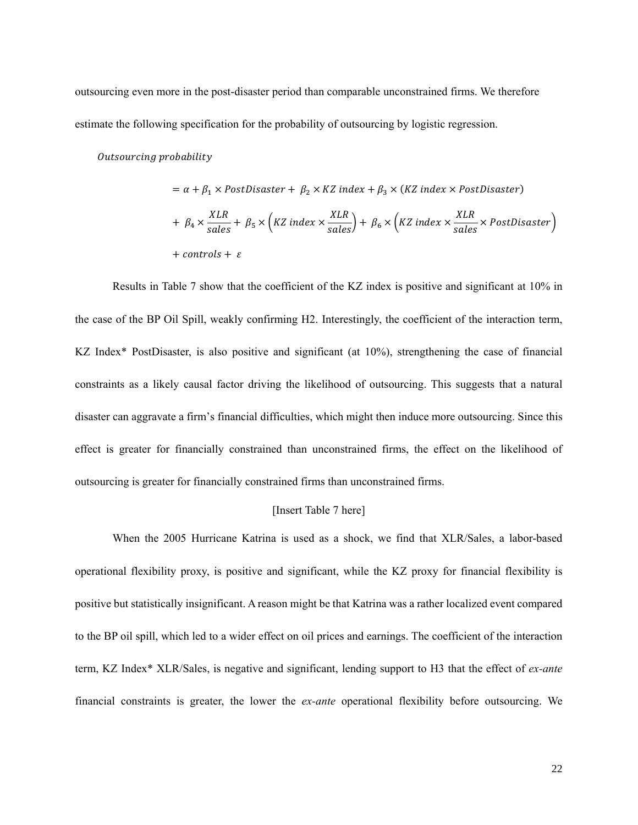outsourcing even more in the post-disaster period than comparable unconstrained firms. We therefore estimate the following specification for the probability of outsourcing by logistic regression.

#### Outsourcing probability

$$
= \alpha + \beta_1 \times PostDisaster + \beta_2 \times KZ index + \beta_3 \times (KZ index \times PostDisaster)
$$
  
+  $\beta_4 \times \frac{XLR}{sales} + \beta_5 \times (KZ index \times \frac{XLR}{sales}) + \beta_6 \times (KZ index \times \frac{XLR}{sales} \times PostDisaster)$   
+ controls +  $\varepsilon$ 

Results in Table 7 show that the coefficient of the KZ index is positive and significant at 10% in the case of the BP Oil Spill, weakly confirming H2. Interestingly, the coefficient of the interaction term, KZ Index\* PostDisaster, is also positive and significant (at 10%), strengthening the case of financial constraints as a likely causal factor driving the likelihood of outsourcing. This suggests that a natural disaster can aggravate a firm's financial difficulties, which might then induce more outsourcing. Since this effect is greater for financially constrained than unconstrained firms, the effect on the likelihood of outsourcing is greater for financially constrained firms than unconstrained firms.

#### [Insert Table 7 here]

When the 2005 Hurricane Katrina is used as a shock, we find that XLR/Sales, a labor-based operational flexibility proxy, is positive and significant, while the KZ proxy for financial flexibility is positive but statistically insignificant. A reason might be that Katrina was a rather localized event compared to the BP oil spill, which led to a wider effect on oil prices and earnings. The coefficient of the interaction term, KZ Index\* XLR/Sales, is negative and significant, lending support to H3 that the effect of *ex-ante* financial constraints is greater, the lower the *ex-ante* operational flexibility before outsourcing. We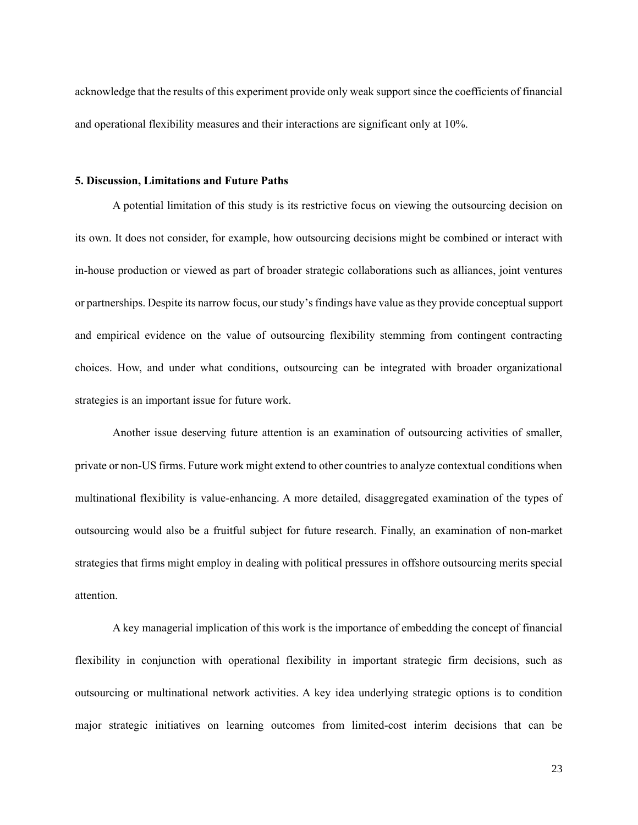acknowledge that the results of this experiment provide only weak support since the coefficients of financial and operational flexibility measures and their interactions are significant only at 10%.

#### **5. Discussion, Limitations and Future Paths**

A potential limitation of this study is its restrictive focus on viewing the outsourcing decision on its own. It does not consider, for example, how outsourcing decisions might be combined or interact with in-house production or viewed as part of broader strategic collaborations such as alliances, joint ventures or partnerships. Despite its narrow focus, our study's findings have value as they provide conceptual support and empirical evidence on the value of outsourcing flexibility stemming from contingent contracting choices. How, and under what conditions, outsourcing can be integrated with broader organizational strategies is an important issue for future work.

Another issue deserving future attention is an examination of outsourcing activities of smaller, private or non-US firms. Future work might extend to other countries to analyze contextual conditions when multinational flexibility is value-enhancing. A more detailed, disaggregated examination of the types of outsourcing would also be a fruitful subject for future research. Finally, an examination of non-market strategies that firms might employ in dealing with political pressures in offshore outsourcing merits special attention.

A key managerial implication of this work is the importance of embedding the concept of financial flexibility in conjunction with operational flexibility in important strategic firm decisions, such as outsourcing or multinational network activities. A key idea underlying strategic options is to condition major strategic initiatives on learning outcomes from limited-cost interim decisions that can be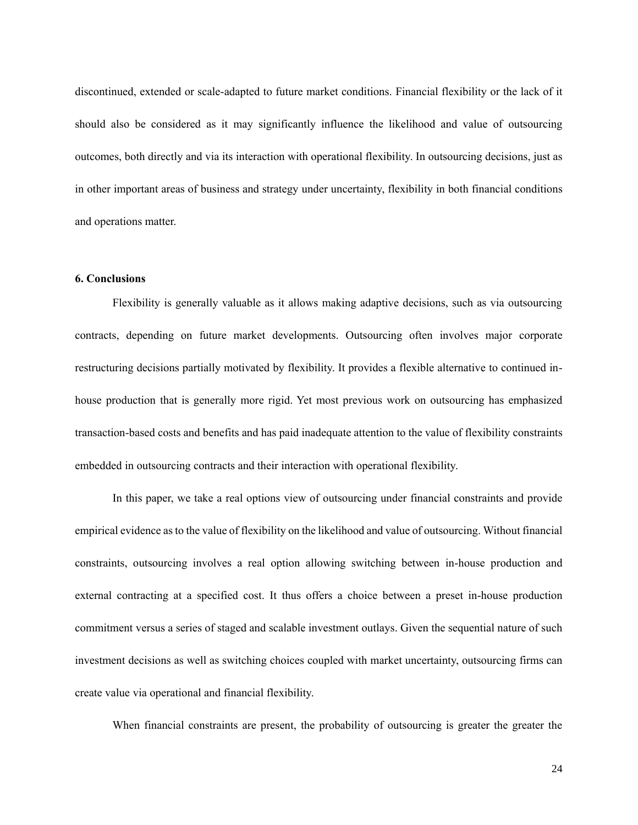discontinued, extended or scale-adapted to future market conditions. Financial flexibility or the lack of it should also be considered as it may significantly influence the likelihood and value of outsourcing outcomes, both directly and via its interaction with operational flexibility. In outsourcing decisions, just as in other important areas of business and strategy under uncertainty, flexibility in both financial conditions and operations matter.

#### **6. Conclusions**

Flexibility is generally valuable as it allows making adaptive decisions, such as via outsourcing contracts, depending on future market developments. Outsourcing often involves major corporate restructuring decisions partially motivated by flexibility. It provides a flexible alternative to continued inhouse production that is generally more rigid. Yet most previous work on outsourcing has emphasized transaction-based costs and benefits and has paid inadequate attention to the value of flexibility constraints embedded in outsourcing contracts and their interaction with operational flexibility.

In this paper, we take a real options view of outsourcing under financial constraints and provide empirical evidence as to the value of flexibility on the likelihood and value of outsourcing. Without financial constraints, outsourcing involves a real option allowing switching between in-house production and external contracting at a specified cost. It thus offers a choice between a preset in-house production commitment versus a series of staged and scalable investment outlays. Given the sequential nature of such investment decisions as well as switching choices coupled with market uncertainty, outsourcing firms can create value via operational and financial flexibility.

When financial constraints are present, the probability of outsourcing is greater the greater the

24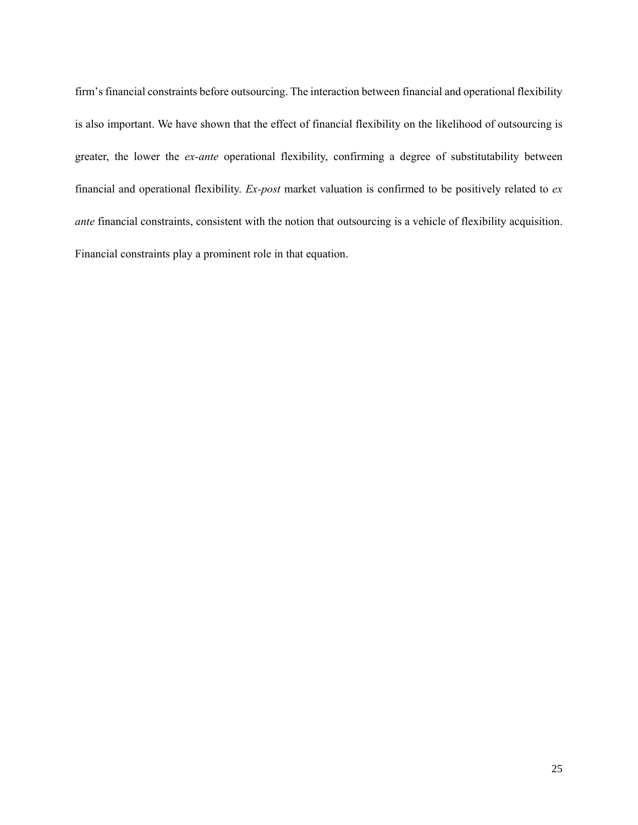firm's financial constraints before outsourcing. The interaction between financial and operational flexibility is also important. We have shown that the effect of financial flexibility on the likelihood of outsourcing is greater, the lower the *ex-ante* operational flexibility, confirming a degree of substitutability between financial and operational flexibility. *Ex-post* market valuation is confirmed to be positively related to *ex ante* financial constraints, consistent with the notion that outsourcing is a vehicle of flexibility acquisition. Financial constraints play a prominent role in that equation.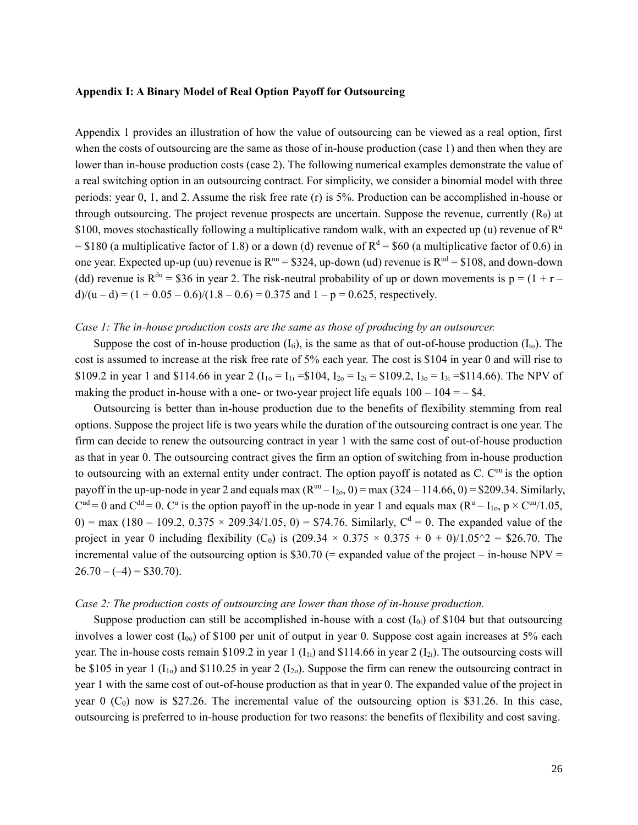## **Appendix I: A Binary Model of Real Option Payoff for Outsourcing**

Appendix 1 provides an illustration of how the value of outsourcing can be viewed as a real option, first when the costs of outsourcing are the same as those of in-house production (case 1) and then when they are lower than in-house production costs (case 2). The following numerical examples demonstrate the value of a real switching option in an outsourcing contract. For simplicity, we consider a binomial model with three periods: year 0, 1, and 2. Assume the risk free rate (r) is 5%. Production can be accomplished in-house or through outsourcing. The project revenue prospects are uncertain. Suppose the revenue, currently  $(R_0)$  at \$100, moves stochastically following a multiplicative random walk, with an expected up (u) revenue of  $\mathbb{R}^u$ = \$180 (a multiplicative factor of 1.8) or a down (d) revenue of  $R^d = $60$  (a multiplicative factor of 0.6) in one year. Expected up-up (uu) revenue is  $R^{uu} = $324$ , up-down (ud) revenue is  $R^{ud} = $108$ , and down-down (dd) revenue is  $R^{du} = $36$  in year 2. The risk-neutral probability of up or down movements is  $p = (1 + r$  $d/(u-d) = (1 + 0.05 - 0.6)/(1.8 - 0.6) = 0.375$  and  $1 - p = 0.625$ , respectively.

## *Case 1: The in-house production costs are the same as those of producing by an outsourcer.*

Suppose the cost of in-house production  $(I_{ti})$ , is the same as that of out-of-house production  $(I_{to})$ . The cost is assumed to increase at the risk free rate of 5% each year. The cost is \$104 in year 0 and will rise to \$109.2 in year 1 and \$114.66 in year 2 ( $I_{10} = I_{1i} = $104$ ,  $I_{20} = I_{2i} = $109.2$ ,  $I_{30} = I_{3i} = $114.66$ ). The NPV of making the product in-house with a one- or two-year project life equals  $100 - 104 = -$  \$4.

Outsourcing is better than in-house production due to the benefits of flexibility stemming from real options. Suppose the project life is two years while the duration of the outsourcing contract is one year. The firm can decide to renew the outsourcing contract in year 1 with the same cost of out-of-house production as that in year 0. The outsourcing contract gives the firm an option of switching from in-house production to outsourcing with an external entity under contract. The option payoff is notated as C. C<sup>uu</sup> is the option payoff in the up-up-node in year 2 and equals max  $(R^{uu} - I_{20}, 0) = \max(324 - 114.66, 0) = $209.34$ . Similarly,  $C^{ud} = 0$  and  $C^{dd} = 0$ .  $C^u$  is the option payoff in the up-node in year 1 and equals max  $(R^u - I_{10}, p \times C^{uu}/1.05,$  $0$ ) = max (180 – 109.2, 0.375  $\times$  209.34/1.05, 0) = \$74.76. Similarly, C<sup>d</sup> = 0. The expanded value of the project in year 0 including flexibility (C<sub>0</sub>) is  $(209.34 \times 0.375 \times 0.375 + 0 + 0)/1.05^2 = $26.70$ . The incremental value of the outsourcing option is \$30.70 (= expanded value of the project – in-house  $NPV =$  $26.70 - (-4) = $30.70$ .

#### *Case 2: The production costs of outsourcing are lower than those of in-house production.*

Suppose production can still be accomplished in-house with a cost  $(I_{0i})$  of \$104 but that outsourcing involves a lower cost  $(I_{00})$  of \$100 per unit of output in year 0. Suppose cost again increases at 5% each year. The in-house costs remain \$109.2 in year 1 ( $I_{1i}$ ) and \$114.66 in year 2 ( $I_{2i}$ ). The outsourcing costs will be \$105 in year 1 ( $I_{10}$ ) and \$110.25 in year 2 ( $I_{20}$ ). Suppose the firm can renew the outsourcing contract in year 1 with the same cost of out-of-house production as that in year 0. The expanded value of the project in year 0  $(C_0)$  now is \$27.26. The incremental value of the outsourcing option is \$31.26. In this case, outsourcing is preferred to in-house production for two reasons: the benefits of flexibility and cost saving.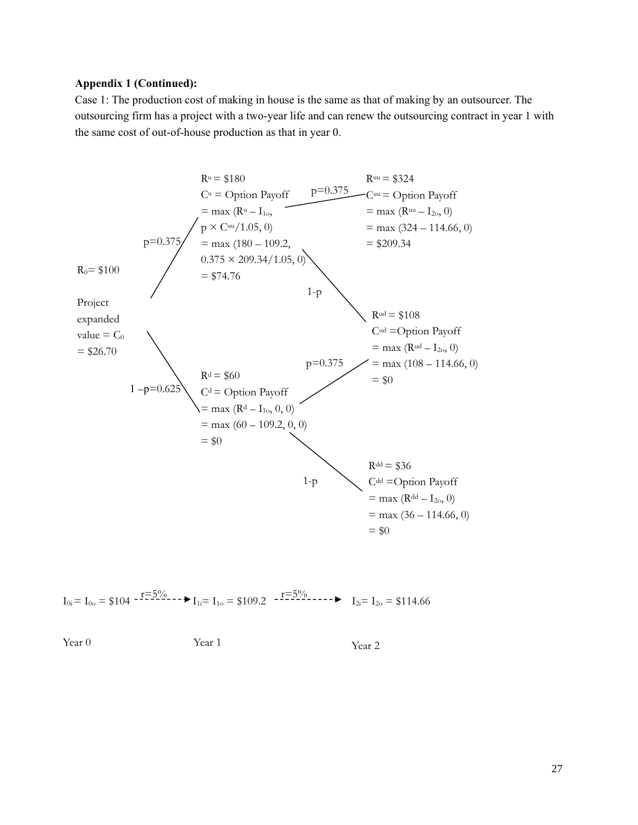## **Appendix 1 (Continued):**

Case 1: The production cost of making in house is the same as that of making by an outsourcer. The outsourcing firm has a project with a two-year life and can renew the outsourcing contract in year 1 with the same cost of out-of-house production as that in year 0.



$$
I_{0i} = I_{0o} = \$104 \xrightarrow{f = 5\%} I_{1i} = I_{1o} = \$109.2 \xrightarrow{f = 5\%} I_{2i} = I_{2o} = \$114.66
$$

Year 0 Year 1 Year 2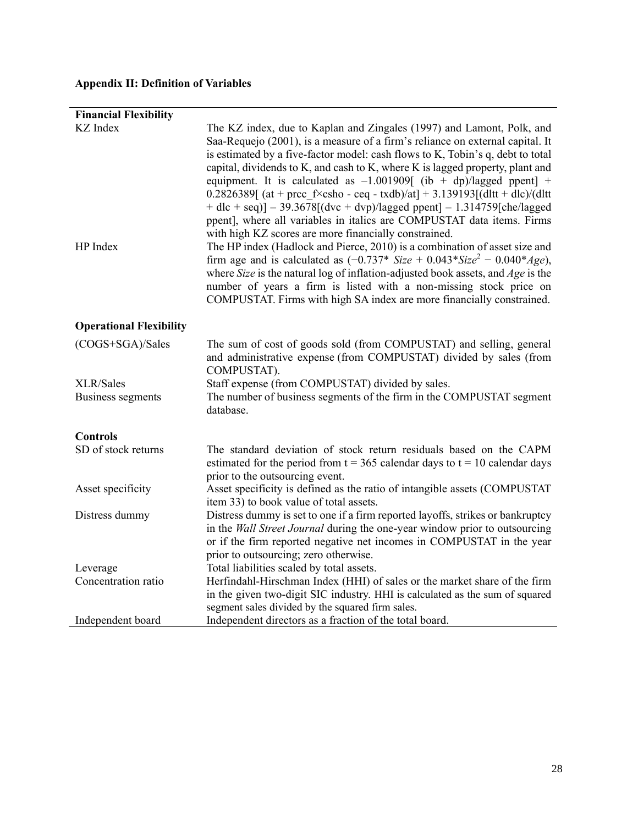# **Appendix II: Definition of Variables**

| <b>Financial Flexibility</b>                 |                                                                                                                                                                                                                                                                                                                                                                                                                                                                                                                                                                                                                                                                                                                                                                                            |
|----------------------------------------------|--------------------------------------------------------------------------------------------------------------------------------------------------------------------------------------------------------------------------------------------------------------------------------------------------------------------------------------------------------------------------------------------------------------------------------------------------------------------------------------------------------------------------------------------------------------------------------------------------------------------------------------------------------------------------------------------------------------------------------------------------------------------------------------------|
| <b>KZ</b> Index<br>HP Index                  | The KZ index, due to Kaplan and Zingales (1997) and Lamont, Polk, and<br>Saa-Requejo (2001), is a measure of a firm's reliance on external capital. It<br>is estimated by a five-factor model: cash flows to K, Tobin's q, debt to total<br>capital, dividends to K, and cash to K, where K is lagged property, plant and<br>equipment. It is calculated as $-1.001909$ (ib + dp)/lagged ppent] +<br>0.2826389[ (at + prcc f $\times$ csho - ceq - txdb)/at] + 3.139193[ (dltt + dlc)/ (dltt<br>$+$ dlc + seq)] - 39.3678[(dvc + dvp)/lagged ppent] - 1.314759[che/lagged<br>ppent], where all variables in italics are COMPUSTAT data items. Firms<br>with high KZ scores are more financially constrained.<br>The HP index (Hadlock and Pierce, 2010) is a combination of asset size and |
|                                              | firm age and is calculated as $(-0.737 * Size + 0.043 * Size^2 - 0.040 * Age)$ ,<br>where $Size$ is the natural log of inflation-adjusted book assets, and $Age$ is the<br>number of years a firm is listed with a non-missing stock price on<br>COMPUSTAT. Firms with high SA index are more financially constrained.                                                                                                                                                                                                                                                                                                                                                                                                                                                                     |
| <b>Operational Flexibility</b>               |                                                                                                                                                                                                                                                                                                                                                                                                                                                                                                                                                                                                                                                                                                                                                                                            |
| (COGS+SGA)/Sales                             | The sum of cost of goods sold (from COMPUSTAT) and selling, general<br>and administrative expense (from COMPUSTAT) divided by sales (from<br>COMPUSTAT).                                                                                                                                                                                                                                                                                                                                                                                                                                                                                                                                                                                                                                   |
| <b>XLR/Sales</b><br><b>Business segments</b> | Staff expense (from COMPUSTAT) divided by sales.<br>The number of business segments of the firm in the COMPUSTAT segment<br>database.                                                                                                                                                                                                                                                                                                                                                                                                                                                                                                                                                                                                                                                      |
| <b>Controls</b>                              |                                                                                                                                                                                                                                                                                                                                                                                                                                                                                                                                                                                                                                                                                                                                                                                            |
| SD of stock returns                          | The standard deviation of stock return residuals based on the CAPM<br>estimated for the period from $t = 365$ calendar days to $t = 10$ calendar days<br>prior to the outsourcing event.                                                                                                                                                                                                                                                                                                                                                                                                                                                                                                                                                                                                   |
| Asset specificity                            | Asset specificity is defined as the ratio of intangible assets (COMPUSTAT<br>item 33) to book value of total assets.                                                                                                                                                                                                                                                                                                                                                                                                                                                                                                                                                                                                                                                                       |
| Distress dummy                               | Distress dummy is set to one if a firm reported layoffs, strikes or bankruptcy<br>in the Wall Street Journal during the one-year window prior to outsourcing<br>or if the firm reported negative net incomes in COMPUSTAT in the year<br>prior to outsourcing; zero otherwise.                                                                                                                                                                                                                                                                                                                                                                                                                                                                                                             |
| Leverage                                     | Total liabilities scaled by total assets.                                                                                                                                                                                                                                                                                                                                                                                                                                                                                                                                                                                                                                                                                                                                                  |
| Concentration ratio                          | Herfindahl-Hirschman Index (HHI) of sales or the market share of the firm<br>in the given two-digit SIC industry. HHI is calculated as the sum of squared<br>segment sales divided by the squared firm sales.                                                                                                                                                                                                                                                                                                                                                                                                                                                                                                                                                                              |
| Independent board                            | Independent directors as a fraction of the total board.                                                                                                                                                                                                                                                                                                                                                                                                                                                                                                                                                                                                                                                                                                                                    |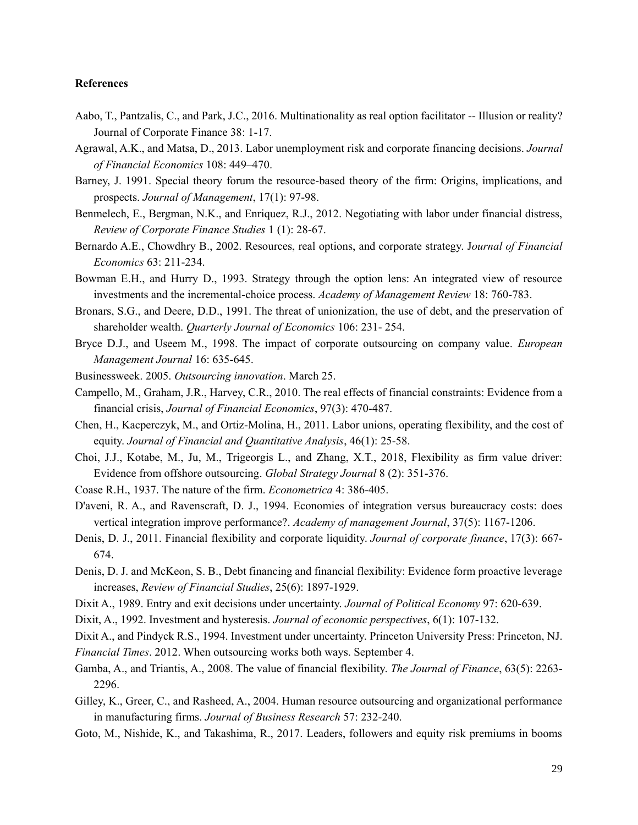## **References**

- Aabo, T., Pantzalis, C., and Park, J.C., 2016. Multinationality as real option facilitator -- Illusion or reality? Journal of Corporate Finance 38: 1-17.
- Agrawal, A.K., and Matsa, D., 2013. Labor unemployment risk and corporate financing decisions. *Journal of Financial Economics* 108: 449–470.
- Barney, J. 1991. Special theory forum the resource-based theory of the firm: Origins, implications, and prospects. *Journal of Management*, 17(1): 97-98.
- Benmelech, E., Bergman, N.K., and Enriquez, R.J., 2012. Negotiating with labor under financial distress, *Review of Corporate Finance Studies* 1 (1): 28-67.
- Bernardo A.E., Chowdhry B., 2002. Resources, real options, and corporate strategy. J*ournal of Financial Economics* 63: 211-234.
- Bowman E.H., and Hurry D., 1993. Strategy through the option lens: An integrated view of resource investments and the incremental-choice process. *Academy of Management Review* 18: 760-783.
- Bronars, S.G., and Deere, D.D., 1991. The threat of unionization, the use of debt, and the preservation of shareholder wealth. *Quarterly Journal of Economics* 106: 231- 254.
- Bryce D.J., and Useem M., 1998. The impact of corporate outsourcing on company value. *European Management Journal* 16: 635-645.
- Businessweek. 2005. *Outsourcing innovation*. March 25.
- Campello, M., Graham, J.R., Harvey, C.R., 2010. The real effects of financial constraints: Evidence from a financial crisis, *Journal of Financial Economics*, 97(3): 470-487.
- Chen, H., Kacperczyk, M., and Ortiz-Molina, H., 2011. Labor unions, operating flexibility, and the cost of equity. *Journal of Financial and Quantitative Analysis*, 46(1): 25-58.
- Choi, J.J., Kotabe, M., Ju, M., Trigeorgis L., and Zhang, X.T., 2018, Flexibility as firm value driver: Evidence from offshore outsourcing. *Global Strategy Journal* 8 (2): 351-376.
- Coase R.H., 1937. The nature of the firm. *Econometrica* 4: 386-405.
- D'aveni, R. A., and Ravenscraft, D. J., 1994. Economies of integration versus bureaucracy costs: does vertical integration improve performance?. *Academy of management Journal*, 37(5): 1167-1206.
- Denis, D. J., 2011. Financial flexibility and corporate liquidity. *Journal of corporate finance*, 17(3): 667- 674.
- Denis, D. J. and McKeon, S. B., Debt financing and financial flexibility: Evidence form proactive leverage increases, *Review of Financial Studies*, 25(6): 1897-1929.
- Dixit A., 1989. Entry and exit decisions under uncertainty. *Journal of Political Economy* 97: 620-639.
- Dixit, A., 1992. Investment and hysteresis. *Journal of economic perspectives*, 6(1): 107-132.

Dixit A., and Pindyck R.S., 1994. Investment under uncertainty. Princeton University Press: Princeton, NJ.

- *Financial Times*. 2012. When outsourcing works both ways. September 4.
- Gamba, A., and Triantis, A., 2008. The value of financial flexibility. *The Journal of Finance*, 63(5): 2263- 2296.
- Gilley, K., Greer, C., and Rasheed, A., 2004. Human resource outsourcing and organizational performance in manufacturing firms. *Journal of Business Research* 57: 232-240.
- Goto, M., Nishide, K., and Takashima, R., 2017. Leaders, followers and equity risk premiums in booms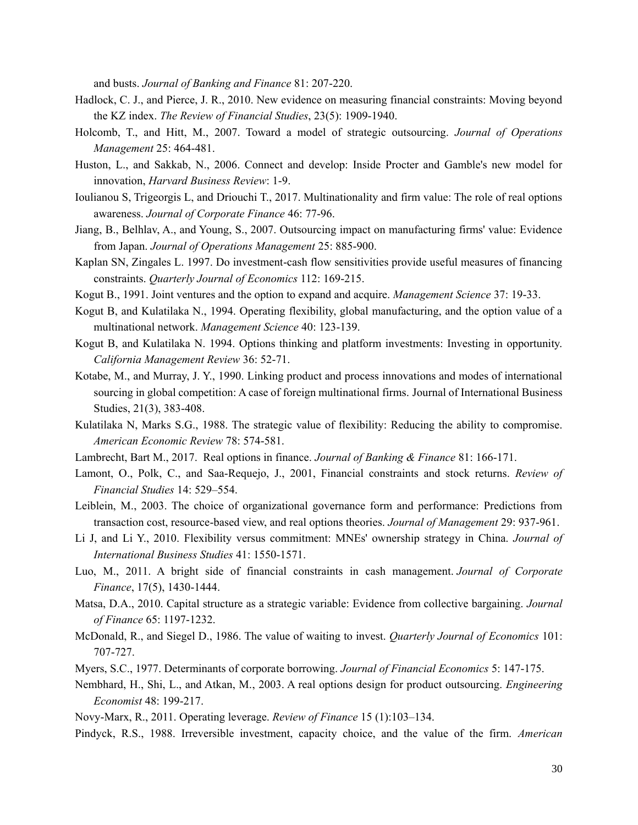and busts. *Journal of Banking and Finance* 81: 207-220.

- Hadlock, C. J., and Pierce, J. R., 2010. New evidence on measuring financial constraints: Moving beyond the KZ index. *The Review of Financial Studies*, 23(5): 1909-1940.
- Holcomb, T., and Hitt, M., 2007. Toward a model of strategic outsourcing. *Journal of Operations Management* 25: 464-481.
- Huston, L., and Sakkab, N., 2006. Connect and develop: Inside Procter and Gamble's new model for innovation, *Harvard Business Review*: 1-9.
- Ioulianou S, Trigeorgis L, and Driouchi T., 2017. Multinationality and firm value: The role of real options awareness. *Journal of Corporate Finance* 46: 77-96.
- Jiang, B., Belhlav, A., and Young, S., 2007. Outsourcing impact on manufacturing firms' value: Evidence from Japan. *Journal of Operations Management* 25: 885-900.
- Kaplan SN, Zingales L. 1997. Do investment-cash flow sensitivities provide useful measures of financing constraints. *Quarterly Journal of Economics* 112: 169-215.
- Kogut B., 1991. Joint ventures and the option to expand and acquire. *Management Science* 37: 19-33.
- Kogut B, and Kulatilaka N., 1994. Operating flexibility, global manufacturing, and the option value of a multinational network. *Management Science* 40: 123-139.
- Kogut B, and Kulatilaka N. 1994. Options thinking and platform investments: Investing in opportunity. *California Management Review* 36: 52-71.
- Kotabe, M., and Murray, J. Y., 1990. Linking product and process innovations and modes of international sourcing in global competition: A case of foreign multinational firms. Journal of International Business Studies, 21(3), 383-408.
- Kulatilaka N, Marks S.G., 1988. The strategic value of flexibility: Reducing the ability to compromise. *American Economic Review* 78: 574-581.
- Lambrecht, Bart M., 2017. Real options in finance. *Journal of Banking & Finance* 81: 166-171.
- Lamont, O., Polk, C., and Saa-Requejo, J., 2001, Financial constraints and stock returns. *Review of Financial Studies* 14: 529–554.
- Leiblein, M., 2003. The choice of organizational governance form and performance: Predictions from transaction cost, resource-based view, and real options theories. *Journal of Management* 29: 937-961.
- Li J, and Li Y., 2010. Flexibility versus commitment: MNEs' ownership strategy in China. *Journal of International Business Studies* 41: 1550-1571.
- Luo, M., 2011. A bright side of financial constraints in cash management. *Journal of Corporate Finance*, 17(5), 1430-1444.
- Matsa, D.A., 2010. Capital structure as a strategic variable: Evidence from collective bargaining. *Journal of Finance* 65: 1197-1232.
- McDonald, R., and Siegel D., 1986. The value of waiting to invest. *Quarterly Journal of Economics* 101: 707-727.
- Myers, S.C., 1977. Determinants of corporate borrowing. *Journal of Financial Economics* 5: 147-175.
- Nembhard, H., Shi, L., and Atkan, M., 2003. A real options design for product outsourcing. *Engineering Economist* 48: 199-217.
- Novy-Marx, R., 2011. Operating leverage. *Review of Finance* 15 (1):103–134.
- Pindyck, R.S., 1988. Irreversible investment, capacity choice, and the value of the firm. *American*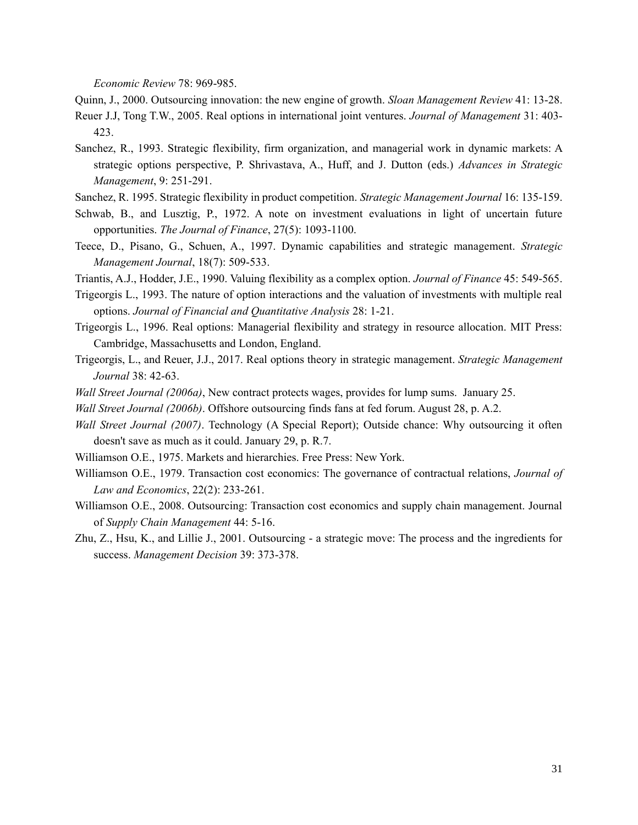*Economic Review* 78: 969-985.

Quinn, J., 2000. Outsourcing innovation: the new engine of growth. *Sloan Management Review* 41: 13-28.

- Reuer J.J, Tong T.W., 2005. Real options in international joint ventures. *Journal of Management* 31: 403- 423.
- Sanchez, R., 1993. Strategic flexibility, firm organization, and managerial work in dynamic markets: A strategic options perspective, P. Shrivastava, A., Huff, and J. Dutton (eds.) *Advances in Strategic Management*, 9: 251-291.
- Sanchez, R. 1995. Strategic flexibility in product competition. *Strategic Management Journal* 16: 135-159.
- Schwab, B., and Lusztig, P., 1972. A note on investment evaluations in light of uncertain future opportunities. *The Journal of Finance*, 27(5): 1093-1100.
- Teece, D., Pisano, G., Schuen, A., 1997. Dynamic capabilities and strategic management. *Strategic Management Journal*, 18(7): 509-533.
- Triantis, A.J., Hodder, J.E., 1990. Valuing flexibility as a complex option. *Journal of Finance* 45: 549-565.
- Trigeorgis L., 1993. The nature of option interactions and the valuation of investments with multiple real options. *Journal of Financial and Quantitative Analysis* 28: 1-21.
- Trigeorgis L., 1996. Real options: Managerial flexibility and strategy in resource allocation. MIT Press: Cambridge, Massachusetts and London, England.
- Trigeorgis, L., and Reuer, J.J., 2017. Real options theory in strategic management. *Strategic Management Journal* 38: 42-63.
- *Wall Street Journal (2006a)*, New contract protects wages, provides for lump sums. January 25.
- *Wall Street Journal (2006b)*. Offshore outsourcing finds fans at fed forum. August 28, p. A.2.
- *Wall Street Journal (2007)*. Technology (A Special Report); Outside chance: Why outsourcing it often doesn't save as much as it could. January 29, p. R.7.
- Williamson O.E., 1975. Markets and hierarchies. Free Press: New York.
- Williamson O.E., 1979. Transaction cost economics: The governance of contractual relations, *Journal of Law and Economics*, 22(2): 233-261.
- Williamson O.E., 2008. Outsourcing: Transaction cost economics and supply chain management. Journal of *Supply Chain Management* 44: 5-16.
- Zhu, Z., Hsu, K., and Lillie J., 2001. Outsourcing a strategic move: The process and the ingredients for success. *Management Decision* 39: 373-378.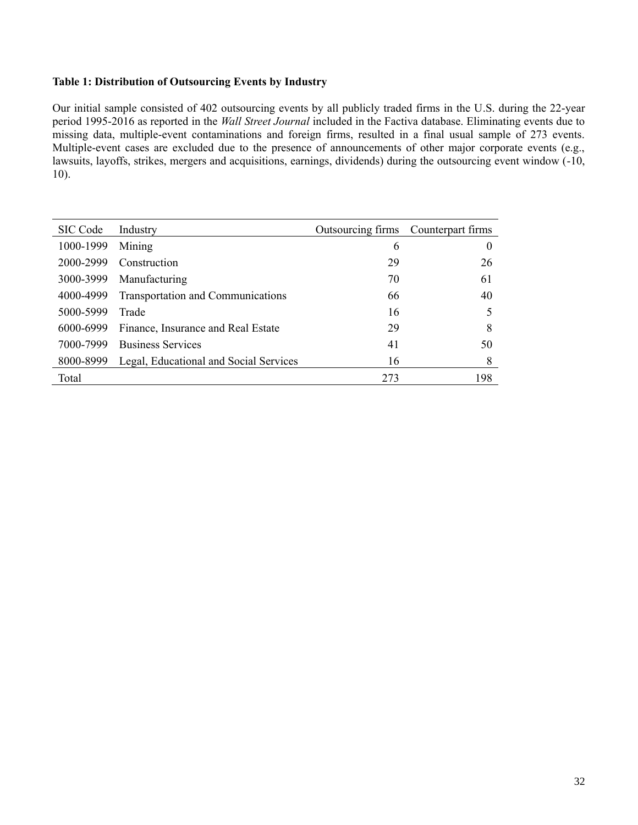## **Table 1: Distribution of Outsourcing Events by Industry**

Our initial sample consisted of 402 outsourcing events by all publicly traded firms in the U.S. during the 22-year period 1995-2016 as reported in the *Wall Street Journal* included in the Factiva database. Eliminating events due to missing data, multiple-event contaminations and foreign firms, resulted in a final usual sample of 273 events. Multiple-event cases are excluded due to the presence of announcements of other major corporate events (e.g., lawsuits, layoffs, strikes, mergers and acquisitions, earnings, dividends) during the outsourcing event window (-10, 10).

| SIC Code  | Industry                                 | Outsourcing firms Counterpart firms |     |
|-----------|------------------------------------------|-------------------------------------|-----|
| 1000-1999 | Mining                                   | 6                                   |     |
| 2000-2999 | Construction                             | 29                                  | 26  |
| 3000-3999 | Manufacturing                            | 70                                  | 61  |
| 4000-4999 | <b>Transportation and Communications</b> | 66                                  | 40  |
| 5000-5999 | Trade                                    | 16                                  |     |
| 6000-6999 | Finance, Insurance and Real Estate       | 29                                  | 8   |
| 7000-7999 | <b>Business Services</b>                 | 41                                  | 50  |
| 8000-8999 | Legal, Educational and Social Services   | 16                                  | 8   |
| Total     |                                          | 273                                 | 198 |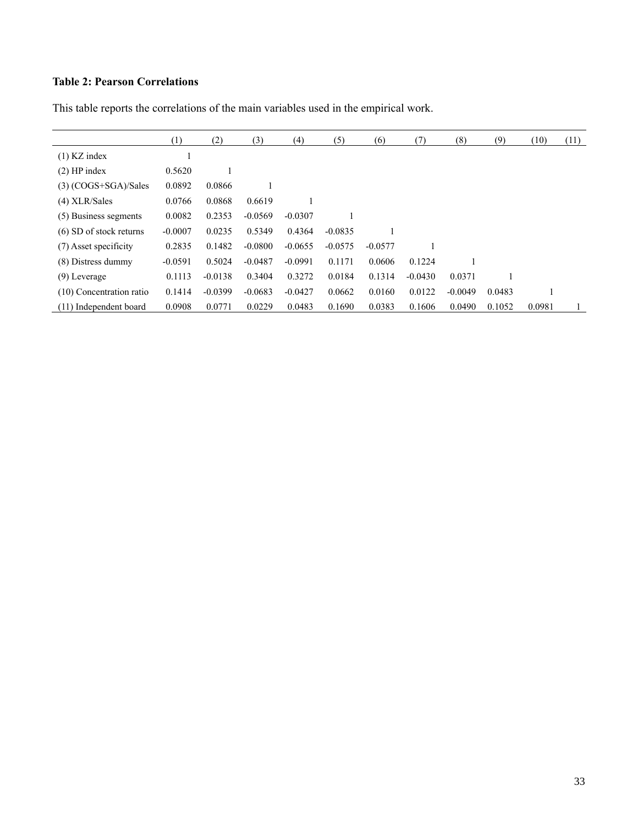# **Table 2: Pearson Correlations**

|                           | (1)       | (2)       | (3)       | (4)       | (5)       | (6)       | (7)       | (8)       | (9)    | (10)   | (11) |
|---------------------------|-----------|-----------|-----------|-----------|-----------|-----------|-----------|-----------|--------|--------|------|
| $(1)$ KZ index            |           |           |           |           |           |           |           |           |        |        |      |
| $(2)$ HP index            | 0.5620    |           |           |           |           |           |           |           |        |        |      |
| $(3)$ (COGS+SGA)/Sales    | 0.0892    | 0.0866    |           |           |           |           |           |           |        |        |      |
| $(4)$ XLR/Sales           | 0.0766    | 0.0868    | 0.6619    |           |           |           |           |           |        |        |      |
| (5) Business segments     | 0.0082    | 0.2353    | $-0.0569$ | $-0.0307$ |           |           |           |           |        |        |      |
| $(6)$ SD of stock returns | $-0.0007$ | 0.0235    | 0.5349    | 0.4364    | $-0.0835$ |           |           |           |        |        |      |
| (7) Asset specificity     | 0.2835    | 0.1482    | $-0.0800$ | $-0.0655$ | $-0.0575$ | $-0.0577$ |           |           |        |        |      |
| (8) Distress dummy        | $-0.0591$ | 0.5024    | $-0.0487$ | $-0.0991$ | 0.1171    | 0.0606    | 0.1224    |           |        |        |      |
| $(9)$ Leverage            | 0.1113    | $-0.0138$ | 0.3404    | 0.3272    | 0.0184    | 0.1314    | $-0.0430$ | 0.0371    |        |        |      |
| (10) Concentration ratio  | 0.1414    | $-0.0399$ | $-0.0683$ | $-0.0427$ | 0.0662    | 0.0160    | 0.0122    | $-0.0049$ | 0.0483 |        |      |
| (11) Independent board    | 0.0908    | 0.0771    | 0.0229    | 0.0483    | 0.1690    | 0.0383    | 0.1606    | 0.0490    | 0.1052 | 0.0981 |      |

This table reports the correlations of the main variables used in the empirical work.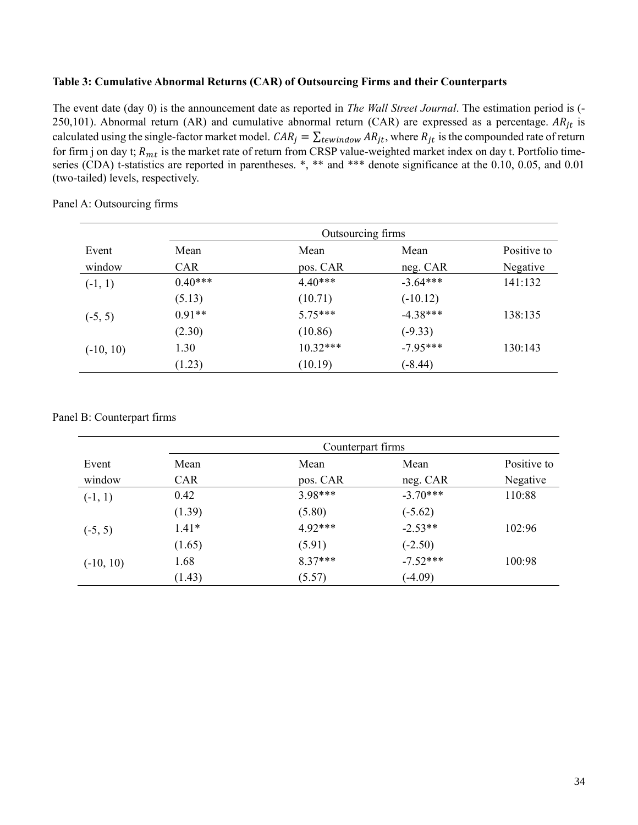## **Table 3: Cumulative Abnormal Returns (CAR) of Outsourcing Firms and their Counterparts**

The event date (day 0) is the announcement date as reported in *The Wall Street Journal*. The estimation period is (- 250,101). Abnormal return (AR) and cumulative abnormal return (CAR) are expressed as a percentage.  $AR_{it}$  is calculated using the single-factor market model.  $CAR_j = \sum_{t \in window} AR_{jt}$ , where  $R_{jt}$  is the compounded rate of return for firm j on day t;  $R_{mt}$  is the market rate of return from CRSP value-weighted market index on day t. Portfolio timeseries (CDA) t-statistics are reported in parentheses.  $*,$  \*\* and \*\*\* denote significance at the 0.10, 0.05, and 0.01 (two-tailed) levels, respectively.

|             |            | Outsourcing firms |            |             |  |  |  |  |  |
|-------------|------------|-------------------|------------|-------------|--|--|--|--|--|
| Event       | Mean       | Mean              | Mean       | Positive to |  |  |  |  |  |
| window      | <b>CAR</b> | pos. CAR          | neg. CAR   | Negative    |  |  |  |  |  |
| $(-1, 1)$   | $0.40***$  | $4.40***$         | $-3.64***$ | 141:132     |  |  |  |  |  |
|             | (5.13)     | (10.71)           | $(-10.12)$ |             |  |  |  |  |  |
| $(-5, 5)$   | $0.91**$   | $5.75***$         | $-4.38***$ | 138:135     |  |  |  |  |  |
|             | (2.30)     | (10.86)           | $(-9.33)$  |             |  |  |  |  |  |
| $(-10, 10)$ | 1.30       | $10.32***$        | $-7.95***$ | 130:143     |  |  |  |  |  |
|             | (1.23)     | (10.19)           | $(-8.44)$  |             |  |  |  |  |  |

Panel A: Outsourcing firms

Panel B: Counterpart firms

|             | Counterpart firms |           |            |             |  |  |
|-------------|-------------------|-----------|------------|-------------|--|--|
| Event       | Mean              | Mean      | Mean       | Positive to |  |  |
| window      | <b>CAR</b>        | pos. CAR  | neg. CAR   | Negative    |  |  |
| $(-1, 1)$   | 0.42              | $3.98***$ | $-3.70***$ | 110:88      |  |  |
|             | (1.39)            | (5.80)    | $(-5.62)$  |             |  |  |
| $(-5, 5)$   | $1.41*$           | $4.92***$ | $-2.53**$  | 102:96      |  |  |
|             | (1.65)            | (5.91)    | $(-2.50)$  |             |  |  |
| $(-10, 10)$ | 1.68              | $8.37***$ | $-7.52***$ | 100:98      |  |  |
|             | (1.43)            | (5.57)    | $(-4.09)$  |             |  |  |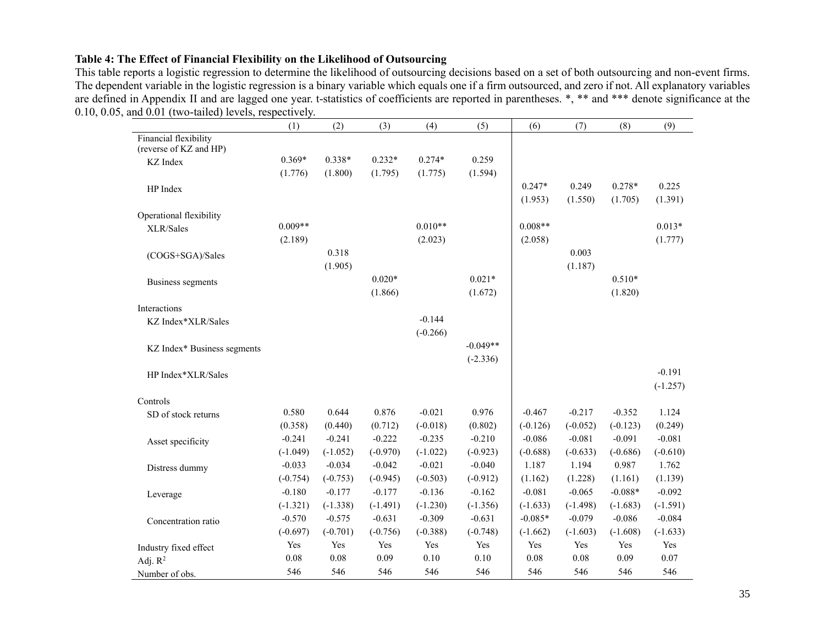## **Table 4: The Effect of Financial Flexibility on the Likelihood of Outsourcing**

This table reports a logistic regression to determine the likelihood of outsourcing decisions based on a set of both outsourcing and non-event firms. The dependent variable in the logistic regression is a binary variable which equals one if a firm outsourced, and zero if not. All explanatory variables are defined in Appendix II and are lagged one year. t-statistics of coefficients are reported in parentheses. \*, \*\* and \*\*\* denote significance at the 0.10, 0.05, and 0.01 (two-tailed) levels, respectively.

|                                     | (1)        | (2)        | (3)        | (4)        | (5)        | (6)        | (7)        | (8)        | (9)        |
|-------------------------------------|------------|------------|------------|------------|------------|------------|------------|------------|------------|
| Financial flexibility               |            |            |            |            |            |            |            |            |            |
| (reverse of KZ and HP)              | $0.369*$   | $0.338*$   | $0.232*$   | $0.274*$   | 0.259      |            |            |            |            |
| <b>KZ</b> Index                     |            |            |            |            |            |            |            |            |            |
|                                     | (1.776)    | (1.800)    | (1.795)    | (1.775)    | (1.594)    |            |            |            |            |
| HP Index                            |            |            |            |            |            | $0.247*$   | 0.249      | $0.278*$   | 0.225      |
|                                     |            |            |            |            |            | (1.953)    | (1.550)    | (1.705)    | (1.391)    |
| Operational flexibility             |            |            |            |            |            |            |            |            |            |
| XLR/Sales                           | $0.009**$  |            |            | $0.010**$  |            | $0.008**$  |            |            | $0.013*$   |
|                                     | (2.189)    |            |            | (2.023)    |            | (2.058)    |            |            | (1.777)    |
| (COGS+SGA)/Sales                    |            | 0.318      |            |            |            |            | 0.003      |            |            |
|                                     |            | (1.905)    |            |            |            |            | (1.187)    |            |            |
| Business segments                   |            |            | $0.020*$   |            | $0.021*$   |            |            | $0.510*$   |            |
|                                     |            |            | (1.866)    |            | (1.672)    |            |            | (1.820)    |            |
| Interactions                        |            |            |            |            |            |            |            |            |            |
| KZ Index*XLR/Sales                  |            |            |            | $-0.144$   |            |            |            |            |            |
|                                     |            |            |            | $(-0.266)$ |            |            |            |            |            |
| KZ Index* Business segments         |            |            |            |            | $-0.049**$ |            |            |            |            |
|                                     |            |            |            |            | $(-2.336)$ |            |            |            |            |
| HP Index*XLR/Sales                  |            |            |            |            |            |            |            |            | $-0.191$   |
|                                     |            |            |            |            |            |            |            |            | $(-1.257)$ |
| Controls                            |            |            |            |            |            |            |            |            |            |
| SD of stock returns                 | 0.580      | 0.644      | 0.876      | $-0.021$   | 0.976      | $-0.467$   | $-0.217$   | $-0.352$   | 1.124      |
|                                     | (0.358)    | (0.440)    | (0.712)    | $(-0.018)$ | (0.802)    | $(-0.126)$ | $(-0.052)$ | $(-0.123)$ | (0.249)    |
| Asset specificity                   | $-0.241$   | $-0.241$   | $-0.222$   | $-0.235$   | $-0.210$   | $-0.086$   | $-0.081$   | $-0.091$   | $-0.081$   |
|                                     | $(-1.049)$ | $(-1.052)$ | $(-0.970)$ | $(-1.022)$ | $(-0.923)$ | $(-0.688)$ | $(-0.633)$ | $(-0.686)$ | $(-0.610)$ |
| Distress dummy                      | $-0.033$   | $-0.034$   | $-0.042$   | $-0.021$   | $-0.040$   | 1.187      | 1.194      | 0.987      | 1.762      |
|                                     | $(-0.754)$ | $(-0.753)$ | $(-0.945)$ | $(-0.503)$ | $(-0.912)$ | (1.162)    | (1.228)    | (1.161)    | (1.139)    |
| Leverage                            | $-0.180$   | $-0.177$   | $-0.177$   | $-0.136$   | $-0.162$   | $-0.081$   | $-0.065$   | $-0.088*$  | $-0.092$   |
|                                     | $(-1.321)$ | $(-1.338)$ | $(-1.491)$ | $(-1.230)$ | $(-1.356)$ | $(-1.633)$ | $(-1.498)$ | $(-1.683)$ | $(-1.591)$ |
| Concentration ratio                 | $-0.570$   | $-0.575$   | $-0.631$   | $-0.309$   | $-0.631$   | $-0.085*$  | $-0.079$   | $-0.086$   | $-0.084$   |
|                                     | $(-0.697)$ | $(-0.701)$ | $(-0.756)$ | $(-0.388)$ | $(-0.748)$ | $(-1.662)$ | $(-1.603)$ | $(-1.608)$ | $(-1.633)$ |
|                                     | Yes        | Yes        | Yes        | Yes        | Yes        | Yes        | Yes        | Yes        | Yes        |
| Industry fixed effect<br>Adj. $R^2$ | 0.08       | 0.08       | 0.09       | 0.10       | 0.10       | 0.08       | 0.08       | 0.09       | 0.07       |
|                                     | 546        | 546        | 546        | 546        | 546        | 546        | 546        | 546        | 546        |
| Number of obs.                      |            |            |            |            |            |            |            |            |            |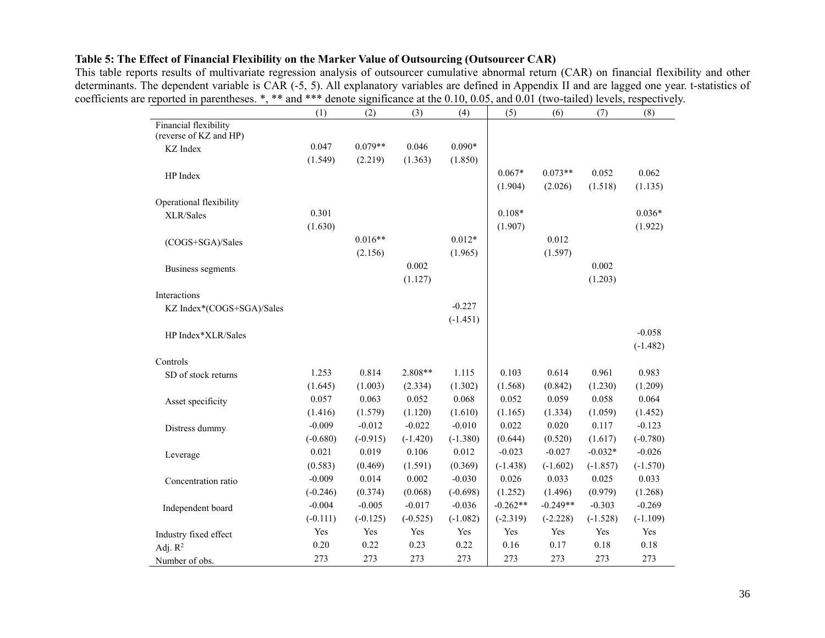## **Table 5: The Effect of Financial Flexibility on the Marker Value of Outsourcing (Outsourcer CAR)**

This table reports results of multivariate regression analysis of outsourcer cumulative abnormal return (CAR) on financial flexibility and other determinants. The dependent variable is CAR (-5, 5). All explanatory variables are defined in Appendix II and are lagged one year. t-statistics of coefficients are reported in parentheses. \*, \*\* and \*\*\* denote significance at the 0.10, 0.05, and 0.01 (two-tailed) levels, respectively.

|                                                 | (1)        | (2)        | (3)        | (4)        | (5)        | (6)        | (7)        | (8)        |
|-------------------------------------------------|------------|------------|------------|------------|------------|------------|------------|------------|
| Financial flexibility<br>(reverse of KZ and HP) |            |            |            |            |            |            |            |            |
| KZ Index                                        | 0.047      | $0.079**$  | 0.046      | $0.090*$   |            |            |            |            |
|                                                 | (1.549)    | (2.219)    | (1.363)    | (1.850)    |            |            |            |            |
| HP Index                                        |            |            |            |            | $0.067*$   | $0.073**$  | 0.052      | 0.062      |
|                                                 |            |            |            |            | (1.904)    | (2.026)    | (1.518)    | (1.135)    |
| Operational flexibility                         |            |            |            |            |            |            |            |            |
| XLR/Sales                                       | 0.301      |            |            |            | $0.108*$   |            |            | $0.036*$   |
|                                                 | (1.630)    |            |            |            | (1.907)    |            |            | (1.922)    |
| (COGS+SGA)/Sales                                |            | $0.016**$  |            | $0.012*$   |            | 0.012      |            |            |
|                                                 |            | (2.156)    |            | (1.965)    |            | (1.597)    |            |            |
| Business segments                               |            |            | 0.002      |            |            |            | 0.002      |            |
|                                                 |            |            | (1.127)    |            |            |            | (1.203)    |            |
| Interactions                                    |            |            |            |            |            |            |            |            |
| KZ Index*(COGS+SGA)/Sales                       |            |            |            | $-0.227$   |            |            |            |            |
|                                                 |            |            |            | $(-1.451)$ |            |            |            |            |
| HP Index*XLR/Sales                              |            |            |            |            |            |            |            | $-0.058$   |
|                                                 |            |            |            |            |            |            |            | $(-1.482)$ |
| Controls                                        |            |            |            |            |            |            |            |            |
| SD of stock returns                             | 1.253      | 0.814      | $2.808**$  | 1.115      | 0.103      | 0.614      | 0.961      | 0.983      |
|                                                 | (1.645)    | (1.003)    | (2.334)    | (1.302)    | (1.568)    | (0.842)    | (1.230)    | (1.209)    |
| Asset specificity                               | 0.057      | 0.063      | 0.052      | 0.068      | 0.052      | 0.059      | 0.058      | 0.064      |
|                                                 | (1.416)    | (1.579)    | (1.120)    | (1.610)    | (1.165)    | (1.334)    | (1.059)    | (1.452)    |
| Distress dummy                                  | $-0.009$   | $-0.012$   | $-0.022$   | $-0.010$   | 0.022      | 0.020      | 0.117      | $-0.123$   |
|                                                 | $(-0.680)$ | $(-0.915)$ | $(-1.420)$ | $(-1.380)$ | (0.644)    | (0.520)    | (1.617)    | $(-0.780)$ |
| Leverage                                        | 0.021      | 0.019      | 0.106      | 0.012      | $-0.023$   | $-0.027$   | $-0.032*$  | $-0.026$   |
|                                                 | (0.583)    | (0.469)    | (1.591)    | (0.369)    | $(-1.438)$ | $(-1.602)$ | $(-1.857)$ | $(-1.570)$ |
| Concentration ratio                             | $-0.009$   | 0.014      | 0.002      | $-0.030$   | 0.026      | 0.033      | 0.025      | 0.033      |
|                                                 | $(-0.246)$ | (0.374)    | (0.068)    | $(-0.698)$ | (1.252)    | (1.496)    | (0.979)    | (1.268)    |
| Independent board                               | $-0.004$   | $-0.005$   | $-0.017$   | $-0.036$   | $-0.262**$ | $-0.249**$ | $-0.303$   | $-0.269$   |
|                                                 | $(-0.111)$ | $(-0.125)$ | $(-0.525)$ | $(-1.082)$ | $(-2.319)$ | $(-2.228)$ | $(-1.528)$ | $(-1.109)$ |
| Industry fixed effect                           | Yes        | Yes        | Yes        | Yes        | Yes        | Yes        | Yes        | Yes        |
| Adj. $R^2$                                      | 0.20       | 0.22       | 0.23       | 0.22       | 0.16       | 0.17       | 0.18       | 0.18       |
| Number of obs.                                  | 273        | 273        | 273        | 273        | 273        | 273        | 273        | 273        |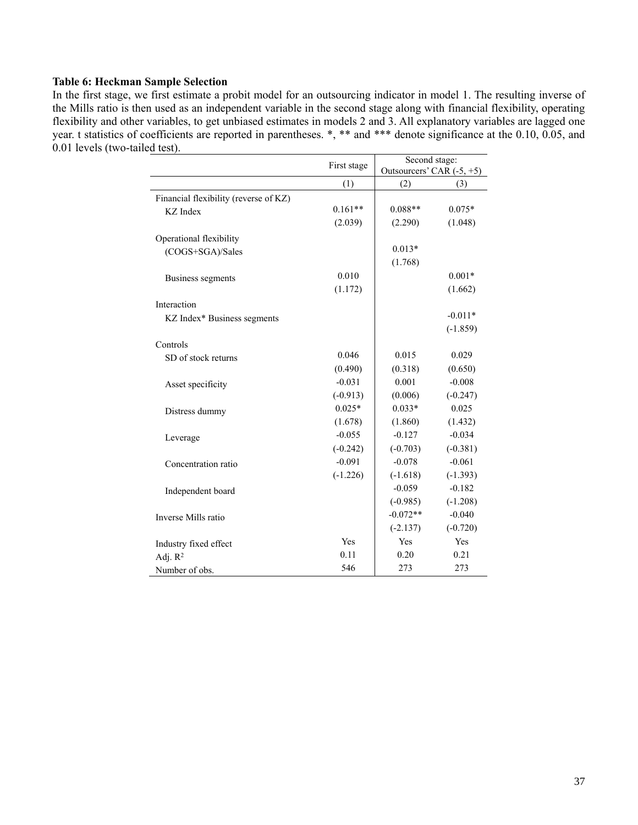## **Table 6: Heckman Sample Selection**

In the first stage, we first estimate a probit model for an outsourcing indicator in model 1. The resulting inverse of the Mills ratio is then used as an independent variable in the second stage along with financial flexibility, operating flexibility and other variables, to get unbiased estimates in models 2 and 3. All explanatory variables are lagged one year. t statistics of coefficients are reported in parentheses. \*, \*\* and \*\*\* denote significance at the 0.10, 0.05, and 0.01 levels (two-tailed test).

|                                       | First stage | Second stage:             |            |
|---------------------------------------|-------------|---------------------------|------------|
|                                       |             | Outsourcers' CAR (-5, +5) |            |
|                                       | (1)         | (2)                       | (3)        |
| Financial flexibility (reverse of KZ) |             |                           |            |
| KZ Index                              | $0.161**$   | $0.088**$                 | $0.075*$   |
|                                       | (2.039)     | (2.290)                   | (1.048)    |
| Operational flexibility               |             |                           |            |
| (COGS+SGA)/Sales                      |             | $0.013*$                  |            |
|                                       |             | (1.768)                   |            |
| Business segments                     | 0.010       |                           | $0.001*$   |
|                                       | (1.172)     |                           | (1.662)    |
| Interaction                           |             |                           |            |
| KZ Index* Business segments           |             |                           | $-0.011*$  |
|                                       |             |                           | $(-1.859)$ |
| Controls                              |             |                           |            |
| SD of stock returns                   | 0.046       | 0.015                     | 0.029      |
|                                       | (0.490)     | (0.318)                   | (0.650)    |
| Asset specificity                     | $-0.031$    | 0.001                     | $-0.008$   |
|                                       | $(-0.913)$  | (0.006)                   | $(-0.247)$ |
| Distress dummy                        | $0.025*$    | $0.033*$                  | 0.025      |
|                                       | (1.678)     | (1.860)                   | (1.432)    |
| Leverage                              | $-0.055$    | $-0.127$                  | $-0.034$   |
|                                       | $(-0.242)$  | $(-0.703)$                | $(-0.381)$ |
| Concentration ratio                   | $-0.091$    | $-0.078$                  | $-0.061$   |
|                                       | $(-1.226)$  | $(-1.618)$                | $(-1.393)$ |
| Independent board                     |             | $-0.059$                  | $-0.182$   |
|                                       |             | $(-0.985)$                | $(-1.208)$ |
| Inverse Mills ratio                   |             | $-0.072**$                | $-0.040$   |
|                                       |             | $(-2.137)$                | $(-0.720)$ |
| Industry fixed effect                 | Yes         | Yes                       | Yes        |
| Adj. $R^2$                            | 0.11        | 0.20                      | 0.21       |
| Number of obs.                        | 546         | 273                       | 273        |